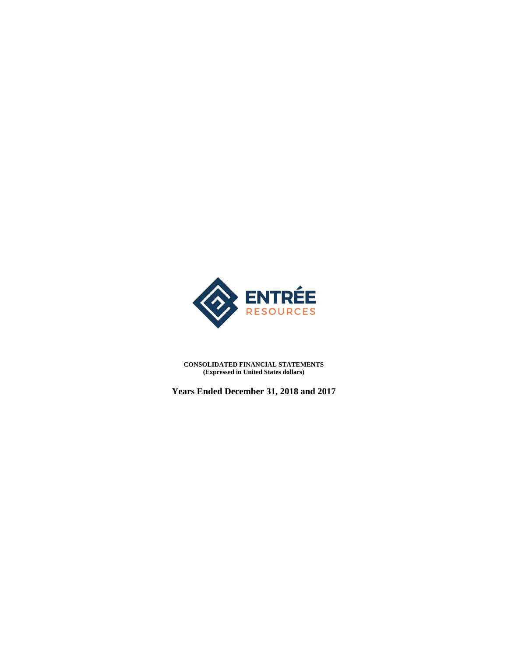

**CONSOLIDATED FINANCIAL STATEMENTS (Expressed in United States dollars)** 

**Years Ended December 31, 2018 and 2017**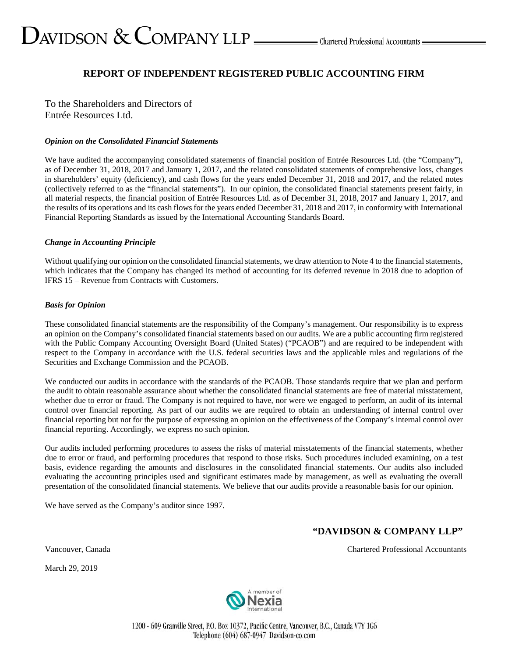# $\sum$ AVIDSON  $\&$  COMPANY LLP  $\_\_\_\_\$ Chartered Professional Accountants  $\_\_\$

### **REPORT OF INDEPENDENT REGISTERED PUBLIC ACCOUNTING FIRM**

To the Shareholders and Directors of Entrée Resources Ltd.

#### *Opinion on the Consolidated Financial Statements*

We have audited the accompanying consolidated statements of financial position of Entrée Resources Ltd. (the "Company"), as of December 31, 2018, 2017 and January 1, 2017, and the related consolidated statements of comprehensive loss, changes in shareholders' equity (deficiency), and cash flows for the years ended December 31, 2018 and 2017, and the related notes (collectively referred to as the "financial statements"). In our opinion, the consolidated financial statements present fairly, in all material respects, the financial position of Entrée Resources Ltd. as of December 31, 2018, 2017 and January 1, 2017, and the results of its operations and its cash flows for the years ended December 31, 2018 and 2017, in conformity with International Financial Reporting Standards as issued by the International Accounting Standards Board.

#### *Change in Accounting Principle*

Without qualifying our opinion on the consolidated financial statements, we draw attention to Note 4 to the financial statements, which indicates that the Company has changed its method of accounting for its deferred revenue in 2018 due to adoption of IFRS 15 – Revenue from Contracts with Customers.

#### *Basis for Opinion*

These consolidated financial statements are the responsibility of the Company's management. Our responsibility is to express an opinion on the Company's consolidated financial statements based on our audits. We are a public accounting firm registered with the Public Company Accounting Oversight Board (United States) ("PCAOB") and are required to be independent with respect to the Company in accordance with the U.S. federal securities laws and the applicable rules and regulations of the Securities and Exchange Commission and the PCAOB.

We conducted our audits in accordance with the standards of the PCAOB. Those standards require that we plan and perform the audit to obtain reasonable assurance about whether the consolidated financial statements are free of material misstatement, whether due to error or fraud. The Company is not required to have, nor were we engaged to perform, an audit of its internal control over financial reporting. As part of our audits we are required to obtain an understanding of internal control over financial reporting but not for the purpose of expressing an opinion on the effectiveness of the Company's internal control over financial reporting. Accordingly, we express no such opinion.

Our audits included performing procedures to assess the risks of material misstatements of the financial statements, whether due to error or fraud, and performing procedures that respond to those risks. Such procedures included examining, on a test basis, evidence regarding the amounts and disclosures in the consolidated financial statements. Our audits also included evaluating the accounting principles used and significant estimates made by management, as well as evaluating the overall presentation of the consolidated financial statements. We believe that our audits provide a reasonable basis for our opinion.

We have served as the Company's auditor since 1997.

### **"DAVIDSON & COMPANY LLP"**

March 29, 2019



1200 - 609 Granville Street, P.O. Box 10372, Pacific Centre, Vancouver, B.C., Canada V7Y 1G6 Telephone (604) 687-0947 Davidson-co.com

Vancouver, Canada Chartered Professional Accountants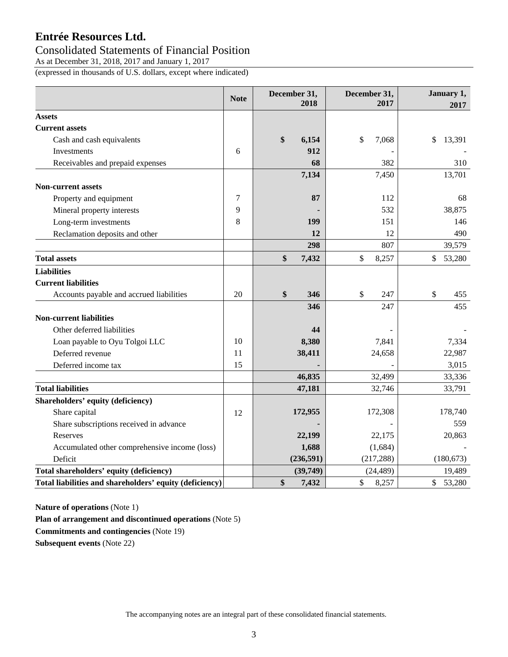### Consolidated Statements of Financial Position

As at December 31, 2018, 2017 and January 1, 2017

(expressed in thousands of U.S. dollars, except where indicated)

|                                                         | <b>Note</b> | December 31,<br>2018 |            | December 31,<br>2017 |              |
|---------------------------------------------------------|-------------|----------------------|------------|----------------------|--------------|
| <b>Assets</b>                                           |             |                      |            |                      |              |
| <b>Current assets</b>                                   |             |                      |            |                      |              |
| Cash and cash equivalents                               |             | \$                   | 6,154      | \$<br>7,068          | \$<br>13,391 |
| <b>Investments</b>                                      | 6           |                      | 912        |                      |              |
| Receivables and prepaid expenses                        |             |                      | 68         | 382                  | 310          |
|                                                         |             |                      | 7,134      | 7,450                | 13,701       |
| <b>Non-current assets</b>                               |             |                      |            |                      |              |
| Property and equipment                                  | 7           |                      | 87         | 112                  | 68           |
| Mineral property interests                              | 9           |                      |            | 532                  | 38,875       |
| Long-term investments                                   | 8           |                      | 199        | 151                  | 146          |
| Reclamation deposits and other                          |             |                      | 12         | 12                   | 490          |
|                                                         |             |                      | 298        | 807                  | 39,579       |
| <b>Total assets</b>                                     |             | \$                   | 7,432      | \$<br>8,257          | \$<br>53,280 |
| <b>Liabilities</b>                                      |             |                      |            |                      |              |
| <b>Current liabilities</b>                              |             |                      |            |                      |              |
| Accounts payable and accrued liabilities                | 20          | \$                   | 346        | \$<br>247            | \$<br>455    |
|                                                         |             |                      | 346        | 247                  | 455          |
| <b>Non-current liabilities</b>                          |             |                      |            |                      |              |
| Other deferred liabilities                              |             |                      | 44         |                      |              |
| Loan payable to Oyu Tolgoi LLC                          | 10          |                      | 8,380      | 7,841                | 7,334        |
| Deferred revenue                                        | 11          |                      | 38,411     | 24,658               | 22,987       |
| Deferred income tax                                     | 15          |                      |            |                      | 3,015        |
|                                                         |             |                      | 46,835     | 32,499               | 33,336       |
| <b>Total liabilities</b>                                |             |                      | 47,181     | 32,746               | 33,791       |
| Shareholders' equity (deficiency)                       |             |                      |            |                      |              |
| Share capital                                           | 12          |                      | 172,955    | 172,308              | 178,740      |
| Share subscriptions received in advance                 |             |                      |            |                      | 559          |
| Reserves                                                |             |                      | 22,199     | 22,175               | 20,863       |
| Accumulated other comprehensive income (loss)           |             |                      | 1,688      | (1,684)              |              |
| Deficit                                                 |             |                      | (236, 591) | (217, 288)           | (180, 673)   |
| Total shareholders' equity (deficiency)                 |             |                      | (39,749)   | (24, 489)            | 19,489       |
| Total liabilities and shareholders' equity (deficiency) |             | \$                   | 7,432      | \$<br>8,257          | \$ 53,280    |

**Nature of operations** (Note 1)

**Plan of arrangement and discontinued operations** (Note 5)

**Commitments and contingencies** (Note 19)

**Subsequent events** (Note 22)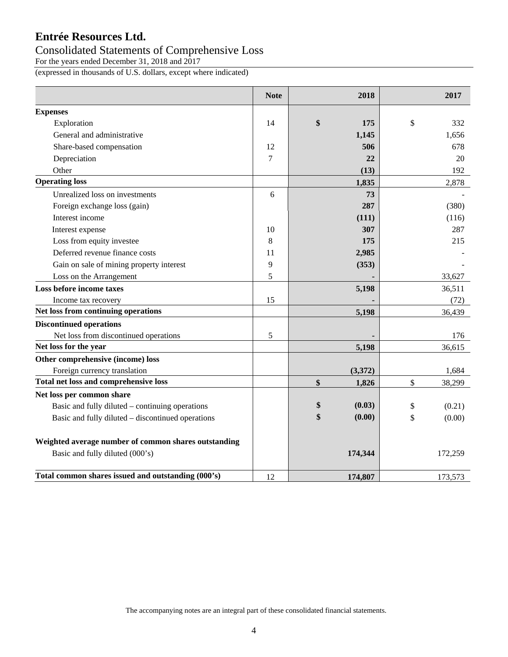### Consolidated Statements of Comprehensive Loss

For the years ended December 31, 2018 and 2017

(expressed in thousands of U.S. dollars, except where indicated)

|                                                      | <b>Note</b> | 2018         | 2017         |
|------------------------------------------------------|-------------|--------------|--------------|
| <b>Expenses</b>                                      |             |              |              |
| Exploration                                          | 14          | \$<br>175    | \$<br>332    |
| General and administrative                           |             | 1,145        | 1,656        |
| Share-based compensation                             | 12          | 506          | 678          |
| Depreciation                                         | 7           | 22           | 20           |
| Other                                                |             | (13)         | 192          |
| <b>Operating loss</b>                                |             | 1,835        | 2,878        |
| Unrealized loss on investments                       | 6           | 73           |              |
| Foreign exchange loss (gain)                         |             | 287          | (380)        |
| Interest income                                      |             | (111)        | (116)        |
| Interest expense                                     | 10          | 307          | 287          |
| Loss from equity investee                            | 8           | 175          | 215          |
| Deferred revenue finance costs                       | 11          | 2,985        |              |
| Gain on sale of mining property interest             | 9           | (353)        |              |
| Loss on the Arrangement                              | 5           |              | 33,627       |
| Loss before income taxes                             |             | 5,198        | 36,511       |
| Income tax recovery                                  | 15          |              | (72)         |
| Net loss from continuing operations                  |             | 5,198        | 36,439       |
| <b>Discontinued operations</b>                       |             |              |              |
| Net loss from discontinued operations                | 5           |              | 176          |
| Net loss for the year                                |             | 5,198        | 36,615       |
| Other comprehensive (income) loss                    |             |              |              |
| Foreign currency translation                         |             | (3,372)      | 1,684        |
| Total net loss and comprehensive loss                |             | \$<br>1,826  | \$<br>38,299 |
| Net loss per common share                            |             |              |              |
| Basic and fully diluted – continuing operations      |             | \$<br>(0.03) | \$<br>(0.21) |
| Basic and fully diluted - discontinued operations    |             | \$<br>(0.00) | \$<br>(0.00) |
| Weighted average number of common shares outstanding |             |              |              |
| Basic and fully diluted (000's)                      |             | 174,344      | 172,259      |
| Total common shares issued and outstanding (000's)   | 12          | 174,807      | 173,573      |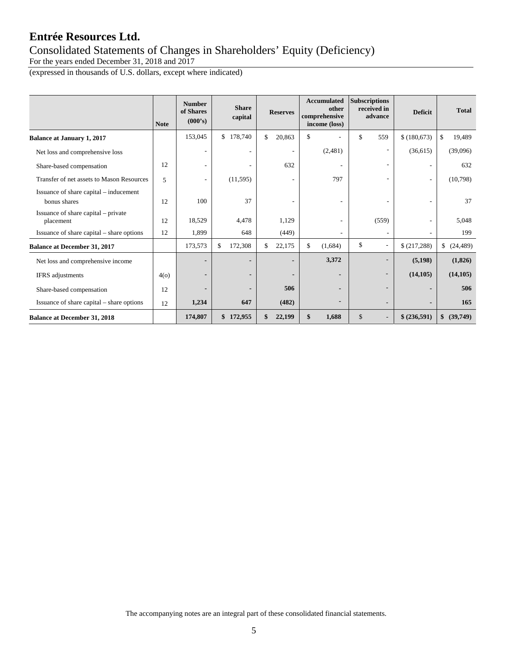### Consolidated Statements of Changes in Shareholders' Equity (Deficiency)

For the years ended December 31, 2018 and 2017

(expressed in thousands of U.S. dollars, except where indicated)

|                                                        | <b>Note</b> | <b>Number</b><br>of Shares<br>(000's) | <b>Share</b><br>capital | <b>Reserves</b> | <b>Accumulated</b><br>other<br>comprehensive<br>income (loss) | <b>Subscriptions</b><br>received in<br>advance | <b>Deficit</b> | <b>Total</b>    |
|--------------------------------------------------------|-------------|---------------------------------------|-------------------------|-----------------|---------------------------------------------------------------|------------------------------------------------|----------------|-----------------|
| <b>Balance at January 1, 2017</b>                      |             | 153,045                               | \$178,740               | \$<br>20,863    | \$                                                            | \$<br>559                                      | \$(180,673)    | 19,489<br>\$    |
| Net loss and comprehensive loss                        |             |                                       |                         | ۰               | (2,481)                                                       | ۰                                              | (36,615)       | (39,096)        |
| Share-based compensation                               | 12          |                                       |                         | 632             | $\overline{\phantom{m}}$                                      | ۰                                              |                | 632             |
| Transfer of net assets to Mason Resources              | 5           |                                       | (11,595)                |                 | 797                                                           |                                                |                | (10,798)        |
| Issuance of share capital – inducement<br>bonus shares | 12          | 100                                   | 37                      | ۰               | $\overline{\phantom{a}}$                                      |                                                |                | 37              |
| Issuance of share capital – private<br>placement       | 12          | 18,529                                | 4,478                   | 1,129           | ٠                                                             | (559)                                          |                | 5,048           |
| Issuance of share capital – share options              | 12          | 1,899                                 | 648                     | (449)           | $\overline{\phantom{a}}$                                      |                                                |                | 199             |
| <b>Balance at December 31, 2017</b>                    |             | 173,573                               | 172,308<br>\$           | \$<br>22,175    | \$<br>(1,684)                                                 | \$                                             | \$(217,288)    | \$<br>(24, 489) |
| Net loss and comprehensive income                      |             |                                       |                         | $\blacksquare$  | 3,372                                                         |                                                | (5, 198)       | (1,826)         |
| IFRS adjustments                                       | 4(0)        |                                       |                         |                 |                                                               |                                                | (14, 105)      | (14, 105)       |
| Share-based compensation                               | 12          |                                       |                         | 506             | $\overline{\phantom{0}}$                                      |                                                |                | 506             |
| Issuance of share capital – share options              | 12          | 1,234                                 | 647                     | (482)           |                                                               |                                                |                | 165             |
| <b>Balance at December 31, 2018</b>                    |             | 174,807                               | \$172,955               | 22,199          | 1,688<br>\$                                                   | \$<br>$\overline{\phantom{a}}$                 | \$ (236,591)   | \$ (39,749)     |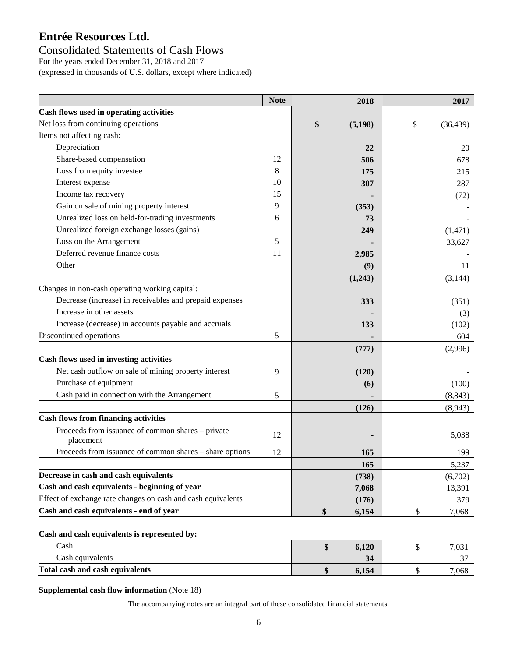### Consolidated Statements of Cash Flows

For the years ended December 31, 2018 and 2017

(expressed in thousands of U.S. dollars, except where indicated)

|                                                                | <b>Note</b> | 2018           | 2017            |
|----------------------------------------------------------------|-------------|----------------|-----------------|
| Cash flows used in operating activities                        |             |                |                 |
| Net loss from continuing operations                            |             | \$<br>(5, 198) | \$<br>(36, 439) |
| Items not affecting cash:                                      |             |                |                 |
| Depreciation                                                   |             | 22             | 20              |
| Share-based compensation                                       | 12          | 506            | 678             |
| Loss from equity investee                                      | 8           | 175            | 215             |
| Interest expense                                               | 10          | 307            | 287             |
| Income tax recovery                                            | 15          |                | (72)            |
| Gain on sale of mining property interest                       | 9           | (353)          |                 |
| Unrealized loss on held-for-trading investments                | 6           | 73             |                 |
| Unrealized foreign exchange losses (gains)                     |             | 249            | (1,471)         |
| Loss on the Arrangement                                        | 5           |                | 33,627          |
| Deferred revenue finance costs                                 | 11          | 2,985          |                 |
| Other                                                          |             | (9)            | 11              |
|                                                                |             | (1,243)        | (3, 144)        |
| Changes in non-cash operating working capital:                 |             |                |                 |
| Decrease (increase) in receivables and prepaid expenses        |             | 333            | (351)           |
| Increase in other assets                                       |             |                | (3)             |
| Increase (decrease) in accounts payable and accruals           |             | 133            | (102)           |
| Discontinued operations                                        | 5           |                | 604             |
|                                                                |             | (777)          | (2,996)         |
| Cash flows used in investing activities                        |             |                |                 |
| Net cash outflow on sale of mining property interest           | 9           | (120)          |                 |
| Purchase of equipment                                          |             | (6)            | (100)           |
| Cash paid in connection with the Arrangement                   | 5           |                | (8, 843)        |
|                                                                |             | (126)          | (8,943)         |
| <b>Cash flows from financing activities</b>                    |             |                |                 |
| Proceeds from issuance of common shares - private<br>placement | 12          |                | 5,038           |
| Proceeds from issuance of common shares – share options        | 12          | 165            | 199             |
|                                                                |             | 165            | 5,237           |
| Decrease in cash and cash equivalents                          |             | (738)          | (6,702)         |
| Cash and cash equivalents - beginning of year                  |             | 7,068          | 13,391          |
| Effect of exchange rate changes on cash and cash equivalents   |             | (176)          | 379             |
| Cash and cash equivalents - end of year                        |             | \$<br>6,154    | \$<br>7,068     |
| Cash and cash equivalents is represented by:                   |             |                |                 |
| Cash                                                           |             | \$<br>6,120    | \$<br>7,031     |
| Cash equivalents                                               |             | 34             | 37              |
| <b>Total cash and cash equivalents</b>                         |             | \$<br>6,154    | \$<br>7,068     |

#### **Supplemental cash flow information** (Note 18)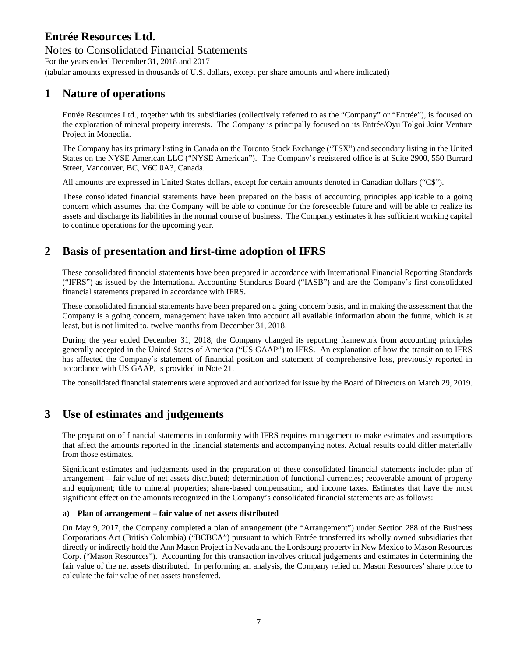#### Notes to Consolidated Financial Statements For the years ended December 31, 2018 and 2017

(tabular amounts expressed in thousands of U.S. dollars, except per share amounts and where indicated)

### **1 Nature of operations**

Entrée Resources Ltd., together with its subsidiaries (collectively referred to as the "Company" or "Entrée"), is focused on the exploration of mineral property interests. The Company is principally focused on its Entrée/Oyu Tolgoi Joint Venture Project in Mongolia.

The Company has its primary listing in Canada on the Toronto Stock Exchange ("TSX") and secondary listing in the United States on the NYSE American LLC ("NYSE American"). The Company's registered office is at Suite 2900, 550 Burrard Street, Vancouver, BC, V6C 0A3, Canada.

All amounts are expressed in United States dollars, except for certain amounts denoted in Canadian dollars ("C\$").

These consolidated financial statements have been prepared on the basis of accounting principles applicable to a going concern which assumes that the Company will be able to continue for the foreseeable future and will be able to realize its assets and discharge its liabilities in the normal course of business. The Company estimates it has sufficient working capital to continue operations for the upcoming year.

### **2 Basis of presentation and first-time adoption of IFRS**

These consolidated financial statements have been prepared in accordance with International Financial Reporting Standards ("IFRS") as issued by the International Accounting Standards Board ("IASB") and are the Company's first consolidated financial statements prepared in accordance with IFRS.

These consolidated financial statements have been prepared on a going concern basis, and in making the assessment that the Company is a going concern, management have taken into account all available information about the future, which is at least, but is not limited to, twelve months from December 31, 2018.

During the year ended December 31, 2018, the Company changed its reporting framework from accounting principles generally accepted in the United States of America ("US GAAP") to IFRS. An explanation of how the transition to IFRS has affected the Company`s statement of financial position and statement of comprehensive loss, previously reported in accordance with US GAAP, is provided in Note 21.

The consolidated financial statements were approved and authorized for issue by the Board of Directors on March 29, 2019.

### **3 Use of estimates and judgements**

The preparation of financial statements in conformity with IFRS requires management to make estimates and assumptions that affect the amounts reported in the financial statements and accompanying notes. Actual results could differ materially from those estimates.

Significant estimates and judgements used in the preparation of these consolidated financial statements include: plan of arrangement – fair value of net assets distributed; determination of functional currencies; recoverable amount of property and equipment; title to mineral properties; share-based compensation; and income taxes. Estimates that have the most significant effect on the amounts recognized in the Company's consolidated financial statements are as follows:

#### **a) Plan of arrangement – fair value of net assets distributed**

On May 9, 2017, the Company completed a plan of arrangement (the "Arrangement") under Section 288 of the Business Corporations Act (British Columbia) ("BCBCA") pursuant to which Entrée transferred its wholly owned subsidiaries that directly or indirectly hold the Ann Mason Project in Nevada and the Lordsburg property in New Mexico to Mason Resources Corp. ("Mason Resources"). Accounting for this transaction involves critical judgements and estimates in determining the fair value of the net assets distributed. In performing an analysis, the Company relied on Mason Resources' share price to calculate the fair value of net assets transferred.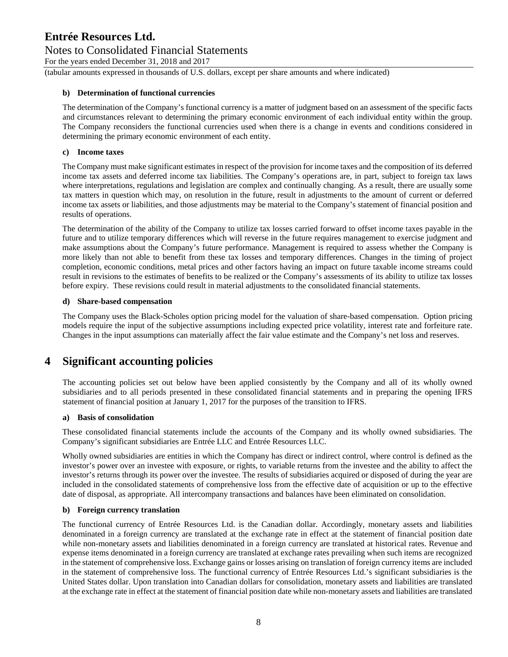### Notes to Consolidated Financial Statements

For the years ended December 31, 2018 and 2017

(tabular amounts expressed in thousands of U.S. dollars, except per share amounts and where indicated)

#### **b) Determination of functional currencies**

The determination of the Company's functional currency is a matter of judgment based on an assessment of the specific facts and circumstances relevant to determining the primary economic environment of each individual entity within the group. The Company reconsiders the functional currencies used when there is a change in events and conditions considered in determining the primary economic environment of each entity.

#### **c) Income taxes**

The Company must make significant estimates in respect of the provision for income taxes and the composition of its deferred income tax assets and deferred income tax liabilities. The Company's operations are, in part, subject to foreign tax laws where interpretations, regulations and legislation are complex and continually changing. As a result, there are usually some tax matters in question which may, on resolution in the future, result in adjustments to the amount of current or deferred income tax assets or liabilities, and those adjustments may be material to the Company's statement of financial position and results of operations.

The determination of the ability of the Company to utilize tax losses carried forward to offset income taxes payable in the future and to utilize temporary differences which will reverse in the future requires management to exercise judgment and make assumptions about the Company's future performance. Management is required to assess whether the Company is more likely than not able to benefit from these tax losses and temporary differences. Changes in the timing of project completion, economic conditions, metal prices and other factors having an impact on future taxable income streams could result in revisions to the estimates of benefits to be realized or the Company's assessments of its ability to utilize tax losses before expiry. These revisions could result in material adjustments to the consolidated financial statements.

#### **d) Share-based compensation**

The Company uses the Black-Scholes option pricing model for the valuation of share-based compensation. Option pricing models require the input of the subjective assumptions including expected price volatility, interest rate and forfeiture rate. Changes in the input assumptions can materially affect the fair value estimate and the Company's net loss and reserves.

### **4 Significant accounting policies**

The accounting policies set out below have been applied consistently by the Company and all of its wholly owned subsidiaries and to all periods presented in these consolidated financial statements and in preparing the opening IFRS statement of financial position at January 1, 2017 for the purposes of the transition to IFRS.

#### **a) Basis of consolidation**

These consolidated financial statements include the accounts of the Company and its wholly owned subsidiaries. The Company's significant subsidiaries are Entrée LLC and Entrée Resources LLC.

Wholly owned subsidiaries are entities in which the Company has direct or indirect control, where control is defined as the investor's power over an investee with exposure, or rights, to variable returns from the investee and the ability to affect the investor's returns through its power over the investee. The results of subsidiaries acquired or disposed of during the year are included in the consolidated statements of comprehensive loss from the effective date of acquisition or up to the effective date of disposal, as appropriate. All intercompany transactions and balances have been eliminated on consolidation.

#### **b) Foreign currency translation**

The functional currency of Entrée Resources Ltd. is the Canadian dollar. Accordingly, monetary assets and liabilities denominated in a foreign currency are translated at the exchange rate in effect at the statement of financial position date while non-monetary assets and liabilities denominated in a foreign currency are translated at historical rates. Revenue and expense items denominated in a foreign currency are translated at exchange rates prevailing when such items are recognized in the statement of comprehensive loss. Exchange gains or losses arising on translation of foreign currency items are included in the statement of comprehensive loss. The functional currency of Entrée Resources Ltd.'s significant subsidiaries is the United States dollar. Upon translation into Canadian dollars for consolidation, monetary assets and liabilities are translated at the exchange rate in effect at the statement of financial position date while non-monetary assets and liabilities are translated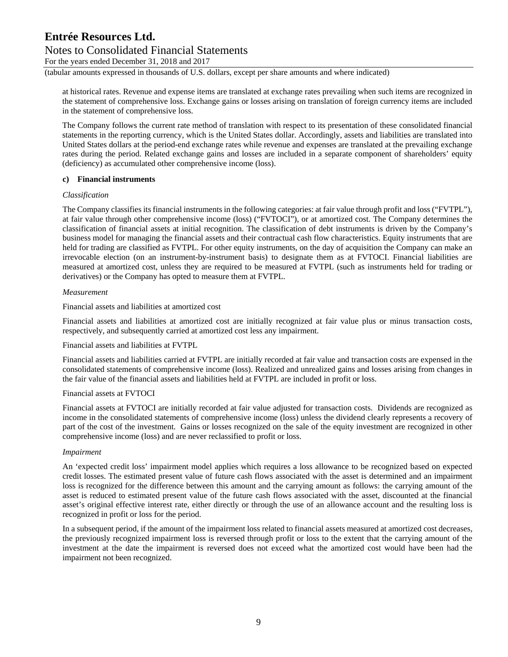### Notes to Consolidated Financial Statements

For the years ended December 31, 2018 and 2017

(tabular amounts expressed in thousands of U.S. dollars, except per share amounts and where indicated)

at historical rates. Revenue and expense items are translated at exchange rates prevailing when such items are recognized in the statement of comprehensive loss. Exchange gains or losses arising on translation of foreign currency items are included in the statement of comprehensive loss.

The Company follows the current rate method of translation with respect to its presentation of these consolidated financial statements in the reporting currency, which is the United States dollar. Accordingly, assets and liabilities are translated into United States dollars at the period-end exchange rates while revenue and expenses are translated at the prevailing exchange rates during the period. Related exchange gains and losses are included in a separate component of shareholders' equity (deficiency) as accumulated other comprehensive income (loss).

#### **c) Financial instruments**

#### *Classification*

The Company classifies its financial instruments in the following categories: at fair value through profit and loss ("FVTPL"), at fair value through other comprehensive income (loss) ("FVTOCI"), or at amortized cost. The Company determines the classification of financial assets at initial recognition. The classification of debt instruments is driven by the Company's business model for managing the financial assets and their contractual cash flow characteristics. Equity instruments that are held for trading are classified as FVTPL. For other equity instruments, on the day of acquisition the Company can make an irrevocable election (on an instrument-by-instrument basis) to designate them as at FVTOCI. Financial liabilities are measured at amortized cost, unless they are required to be measured at FVTPL (such as instruments held for trading or derivatives) or the Company has opted to measure them at FVTPL.

#### *Measurement*

Financial assets and liabilities at amortized cost

Financial assets and liabilities at amortized cost are initially recognized at fair value plus or minus transaction costs, respectively, and subsequently carried at amortized cost less any impairment.

Financial assets and liabilities at FVTPL

Financial assets and liabilities carried at FVTPL are initially recorded at fair value and transaction costs are expensed in the consolidated statements of comprehensive income (loss). Realized and unrealized gains and losses arising from changes in the fair value of the financial assets and liabilities held at FVTPL are included in profit or loss.

#### Financial assets at FVTOCI

Financial assets at FVTOCI are initially recorded at fair value adjusted for transaction costs. Dividends are recognized as income in the consolidated statements of comprehensive income (loss) unless the dividend clearly represents a recovery of part of the cost of the investment. Gains or losses recognized on the sale of the equity investment are recognized in other comprehensive income (loss) and are never reclassified to profit or loss.

#### *Impairment*

An 'expected credit loss' impairment model applies which requires a loss allowance to be recognized based on expected credit losses. The estimated present value of future cash flows associated with the asset is determined and an impairment loss is recognized for the difference between this amount and the carrying amount as follows: the carrying amount of the asset is reduced to estimated present value of the future cash flows associated with the asset, discounted at the financial asset's original effective interest rate, either directly or through the use of an allowance account and the resulting loss is recognized in profit or loss for the period.

In a subsequent period, if the amount of the impairment loss related to financial assets measured at amortized cost decreases, the previously recognized impairment loss is reversed through profit or loss to the extent that the carrying amount of the investment at the date the impairment is reversed does not exceed what the amortized cost would have been had the impairment not been recognized.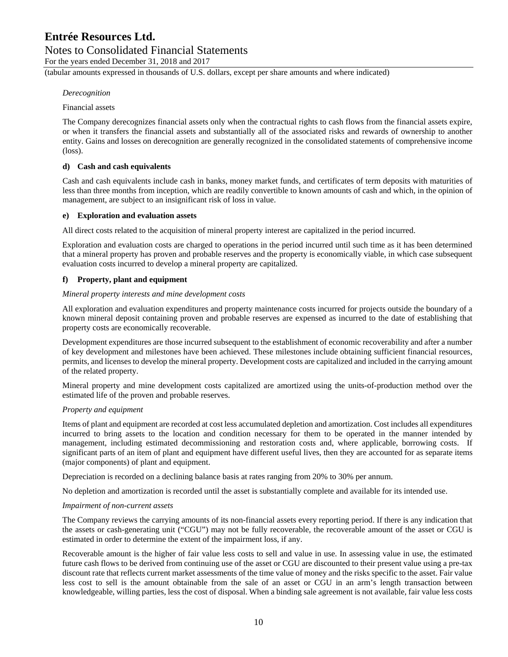### Notes to Consolidated Financial Statements

For the years ended December 31, 2018 and 2017

(tabular amounts expressed in thousands of U.S. dollars, except per share amounts and where indicated)

#### *Derecognition*

#### Financial assets

The Company derecognizes financial assets only when the contractual rights to cash flows from the financial assets expire, or when it transfers the financial assets and substantially all of the associated risks and rewards of ownership to another entity. Gains and losses on derecognition are generally recognized in the consolidated statements of comprehensive income (loss).

#### **d) Cash and cash equivalents**

Cash and cash equivalents include cash in banks, money market funds, and certificates of term deposits with maturities of less than three months from inception, which are readily convertible to known amounts of cash and which, in the opinion of management, are subject to an insignificant risk of loss in value.

#### **e) Exploration and evaluation assets**

All direct costs related to the acquisition of mineral property interest are capitalized in the period incurred.

Exploration and evaluation costs are charged to operations in the period incurred until such time as it has been determined that a mineral property has proven and probable reserves and the property is economically viable, in which case subsequent evaluation costs incurred to develop a mineral property are capitalized.

#### **f) Property, plant and equipment**

#### *Mineral property interests and mine development costs*

All exploration and evaluation expenditures and property maintenance costs incurred for projects outside the boundary of a known mineral deposit containing proven and probable reserves are expensed as incurred to the date of establishing that property costs are economically recoverable.

Development expenditures are those incurred subsequent to the establishment of economic recoverability and after a number of key development and milestones have been achieved. These milestones include obtaining sufficient financial resources, permits, and licenses to develop the mineral property. Development costs are capitalized and included in the carrying amount of the related property.

Mineral property and mine development costs capitalized are amortized using the units-of-production method over the estimated life of the proven and probable reserves.

#### *Property and equipment*

Items of plant and equipment are recorded at cost less accumulated depletion and amortization. Cost includes all expenditures incurred to bring assets to the location and condition necessary for them to be operated in the manner intended by management, including estimated decommissioning and restoration costs and, where applicable, borrowing costs. If significant parts of an item of plant and equipment have different useful lives, then they are accounted for as separate items (major components) of plant and equipment.

Depreciation is recorded on a declining balance basis at rates ranging from 20% to 30% per annum.

No depletion and amortization is recorded until the asset is substantially complete and available for its intended use.

#### *Impairment of non-current assets*

The Company reviews the carrying amounts of its non-financial assets every reporting period. If there is any indication that the assets or cash-generating unit ("CGU") may not be fully recoverable, the recoverable amount of the asset or CGU is estimated in order to determine the extent of the impairment loss, if any.

Recoverable amount is the higher of fair value less costs to sell and value in use. In assessing value in use, the estimated future cash flows to be derived from continuing use of the asset or CGU are discounted to their present value using a pre-tax discount rate that reflects current market assessments of the time value of money and the risks specific to the asset. Fair value less cost to sell is the amount obtainable from the sale of an asset or CGU in an arm's length transaction between knowledgeable, willing parties, less the cost of disposal. When a binding sale agreement is not available, fair value less costs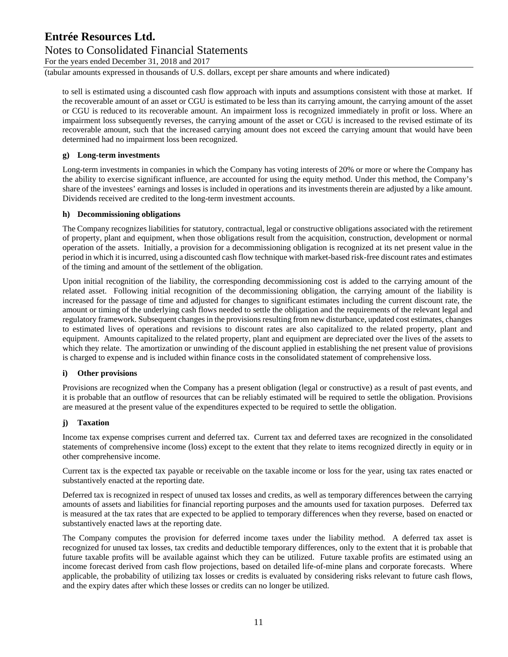### Notes to Consolidated Financial Statements

For the years ended December 31, 2018 and 2017

(tabular amounts expressed in thousands of U.S. dollars, except per share amounts and where indicated)

to sell is estimated using a discounted cash flow approach with inputs and assumptions consistent with those at market. If the recoverable amount of an asset or CGU is estimated to be less than its carrying amount, the carrying amount of the asset or CGU is reduced to its recoverable amount. An impairment loss is recognized immediately in profit or loss. Where an impairment loss subsequently reverses, the carrying amount of the asset or CGU is increased to the revised estimate of its recoverable amount, such that the increased carrying amount does not exceed the carrying amount that would have been determined had no impairment loss been recognized.

#### **g) Long-term investments**

Long-term investments in companies in which the Company has voting interests of 20% or more or where the Company has the ability to exercise significant influence, are accounted for using the equity method. Under this method, the Company's share of the investees' earnings and losses is included in operations and its investments therein are adjusted by a like amount. Dividends received are credited to the long-term investment accounts.

#### **h) Decommissioning obligations**

The Company recognizes liabilities for statutory, contractual, legal or constructive obligations associated with the retirement of property, plant and equipment, when those obligations result from the acquisition, construction, development or normal operation of the assets. Initially, a provision for a decommissioning obligation is recognized at its net present value in the period in which it is incurred, using a discounted cash flow technique with market-based risk-free discount rates and estimates of the timing and amount of the settlement of the obligation.

Upon initial recognition of the liability, the corresponding decommissioning cost is added to the carrying amount of the related asset. Following initial recognition of the decommissioning obligation, the carrying amount of the liability is increased for the passage of time and adjusted for changes to significant estimates including the current discount rate, the amount or timing of the underlying cash flows needed to settle the obligation and the requirements of the relevant legal and regulatory framework. Subsequent changes in the provisions resulting from new disturbance, updated cost estimates, changes to estimated lives of operations and revisions to discount rates are also capitalized to the related property, plant and equipment. Amounts capitalized to the related property, plant and equipment are depreciated over the lives of the assets to which they relate. The amortization or unwinding of the discount applied in establishing the net present value of provisions is charged to expense and is included within finance costs in the consolidated statement of comprehensive loss.

#### **i) Other provisions**

Provisions are recognized when the Company has a present obligation (legal or constructive) as a result of past events, and it is probable that an outflow of resources that can be reliably estimated will be required to settle the obligation. Provisions are measured at the present value of the expenditures expected to be required to settle the obligation.

#### **j) Taxation**

Income tax expense comprises current and deferred tax. Current tax and deferred taxes are recognized in the consolidated statements of comprehensive income (loss) except to the extent that they relate to items recognized directly in equity or in other comprehensive income.

Current tax is the expected tax payable or receivable on the taxable income or loss for the year, using tax rates enacted or substantively enacted at the reporting date.

Deferred tax is recognized in respect of unused tax losses and credits, as well as temporary differences between the carrying amounts of assets and liabilities for financial reporting purposes and the amounts used for taxation purposes. Deferred tax is measured at the tax rates that are expected to be applied to temporary differences when they reverse, based on enacted or substantively enacted laws at the reporting date.

The Company computes the provision for deferred income taxes under the liability method. A deferred tax asset is recognized for unused tax losses, tax credits and deductible temporary differences, only to the extent that it is probable that future taxable profits will be available against which they can be utilized. Future taxable profits are estimated using an income forecast derived from cash flow projections, based on detailed life-of-mine plans and corporate forecasts. Where applicable, the probability of utilizing tax losses or credits is evaluated by considering risks relevant to future cash flows, and the expiry dates after which these losses or credits can no longer be utilized.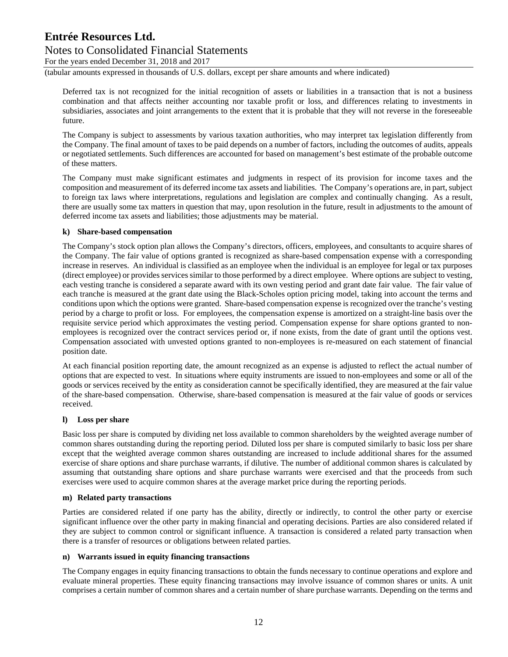### Notes to Consolidated Financial Statements

For the years ended December 31, 2018 and 2017

(tabular amounts expressed in thousands of U.S. dollars, except per share amounts and where indicated)

Deferred tax is not recognized for the initial recognition of assets or liabilities in a transaction that is not a business combination and that affects neither accounting nor taxable profit or loss, and differences relating to investments in subsidiaries, associates and joint arrangements to the extent that it is probable that they will not reverse in the foreseeable future.

The Company is subject to assessments by various taxation authorities, who may interpret tax legislation differently from the Company. The final amount of taxes to be paid depends on a number of factors, including the outcomes of audits, appeals or negotiated settlements. Such differences are accounted for based on management's best estimate of the probable outcome of these matters.

The Company must make significant estimates and judgments in respect of its provision for income taxes and the composition and measurement of its deferred income tax assets and liabilities. The Company's operations are, in part, subject to foreign tax laws where interpretations, regulations and legislation are complex and continually changing. As a result, there are usually some tax matters in question that may, upon resolution in the future, result in adjustments to the amount of deferred income tax assets and liabilities; those adjustments may be material.

#### **k) Share-based compensation**

The Company's stock option plan allows the Company's directors, officers, employees, and consultants to acquire shares of the Company. The fair value of options granted is recognized as share-based compensation expense with a corresponding increase in reserves. An individual is classified as an employee when the individual is an employee for legal or tax purposes (direct employee) or provides services similar to those performed by a direct employee. Where options are subject to vesting, each vesting tranche is considered a separate award with its own vesting period and grant date fair value. The fair value of each tranche is measured at the grant date using the Black-Scholes option pricing model, taking into account the terms and conditions upon which the options were granted. Share-based compensation expense is recognized over the tranche's vesting period by a charge to profit or loss. For employees, the compensation expense is amortized on a straight-line basis over the requisite service period which approximates the vesting period. Compensation expense for share options granted to nonemployees is recognized over the contract services period or, if none exists, from the date of grant until the options vest. Compensation associated with unvested options granted to non-employees is re-measured on each statement of financial position date.

At each financial position reporting date, the amount recognized as an expense is adjusted to reflect the actual number of options that are expected to vest. In situations where equity instruments are issued to non-employees and some or all of the goods or services received by the entity as consideration cannot be specifically identified, they are measured at the fair value of the share-based compensation. Otherwise, share-based compensation is measured at the fair value of goods or services received.

#### **l) Loss per share**

Basic loss per share is computed by dividing net loss available to common shareholders by the weighted average number of common shares outstanding during the reporting period. Diluted loss per share is computed similarly to basic loss per share except that the weighted average common shares outstanding are increased to include additional shares for the assumed exercise of share options and share purchase warrants, if dilutive. The number of additional common shares is calculated by assuming that outstanding share options and share purchase warrants were exercised and that the proceeds from such exercises were used to acquire common shares at the average market price during the reporting periods.

#### **m) Related party transactions**

Parties are considered related if one party has the ability, directly or indirectly, to control the other party or exercise significant influence over the other party in making financial and operating decisions. Parties are also considered related if they are subject to common control or significant influence. A transaction is considered a related party transaction when there is a transfer of resources or obligations between related parties.

#### **n) Warrants issued in equity financing transactions**

The Company engages in equity financing transactions to obtain the funds necessary to continue operations and explore and evaluate mineral properties. These equity financing transactions may involve issuance of common shares or units. A unit comprises a certain number of common shares and a certain number of share purchase warrants. Depending on the terms and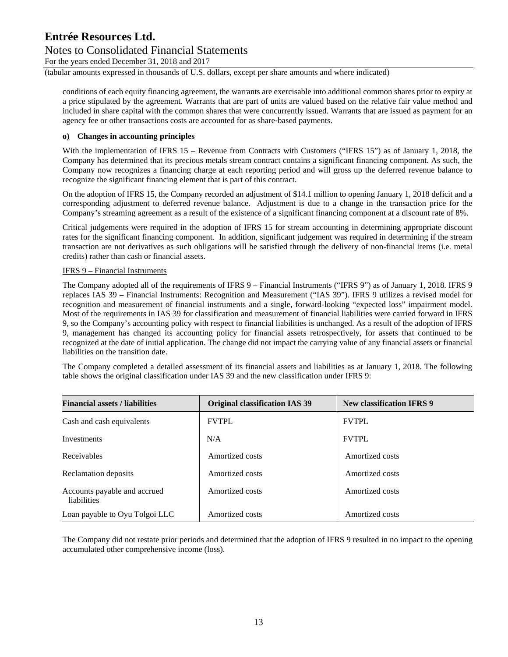### Notes to Consolidated Financial Statements

For the years ended December 31, 2018 and 2017

(tabular amounts expressed in thousands of U.S. dollars, except per share amounts and where indicated)

conditions of each equity financing agreement, the warrants are exercisable into additional common shares prior to expiry at a price stipulated by the agreement. Warrants that are part of units are valued based on the relative fair value method and included in share capital with the common shares that were concurrently issued. Warrants that are issued as payment for an agency fee or other transactions costs are accounted for as share‐based payments.

#### **o) Changes in accounting principles**

With the implementation of IFRS 15 – Revenue from Contracts with Customers ("IFRS 15") as of January 1, 2018, the Company has determined that its precious metals stream contract contains a significant financing component. As such, the Company now recognizes a financing charge at each reporting period and will gross up the deferred revenue balance to recognize the significant financing element that is part of this contract.

On the adoption of IFRS 15, the Company recorded an adjustment of \$14.1 million to opening January 1, 2018 deficit and a corresponding adjustment to deferred revenue balance. Adjustment is due to a change in the transaction price for the Company's streaming agreement as a result of the existence of a significant financing component at a discount rate of 8%.

Critical judgements were required in the adoption of IFRS 15 for stream accounting in determining appropriate discount rates for the significant financing component. In addition, significant judgement was required in determining if the stream transaction are not derivatives as such obligations will be satisfied through the delivery of non-financial items (i.e. metal credits) rather than cash or financial assets.

#### IFRS 9 – Financial Instruments

The Company adopted all of the requirements of IFRS 9 – Financial Instruments ("IFRS 9") as of January 1, 2018. IFRS 9 replaces IAS 39 – Financial Instruments: Recognition and Measurement ("IAS 39"). IFRS 9 utilizes a revised model for recognition and measurement of financial instruments and a single, forward-looking "expected loss" impairment model. Most of the requirements in IAS 39 for classification and measurement of financial liabilities were carried forward in IFRS 9, so the Company's accounting policy with respect to financial liabilities is unchanged. As a result of the adoption of IFRS 9, management has changed its accounting policy for financial assets retrospectively, for assets that continued to be recognized at the date of initial application. The change did not impact the carrying value of any financial assets or financial liabilities on the transition date.

The Company completed a detailed assessment of its financial assets and liabilities as at January 1, 2018. The following table shows the original classification under IAS 39 and the new classification under IFRS 9:

| <b>Financial assets / liabilities</b>       | <b>Original classification IAS 39</b> | <b>New classification IFRS 9</b> |
|---------------------------------------------|---------------------------------------|----------------------------------|
| Cash and cash equivalents                   | <b>FVTPL</b>                          | <b>FVTPL</b>                     |
| <b>Investments</b>                          | N/A                                   | <b>FVTPL</b>                     |
| Receivables                                 | Amortized costs                       | Amortized costs                  |
| Reclamation deposits                        | Amortized costs                       | Amortized costs                  |
| Accounts payable and accrued<br>liabilities | Amortized costs                       | Amortized costs                  |
| Loan payable to Oyu Tolgoi LLC              | Amortized costs                       | Amortized costs                  |

The Company did not restate prior periods and determined that the adoption of IFRS 9 resulted in no impact to the opening accumulated other comprehensive income (loss).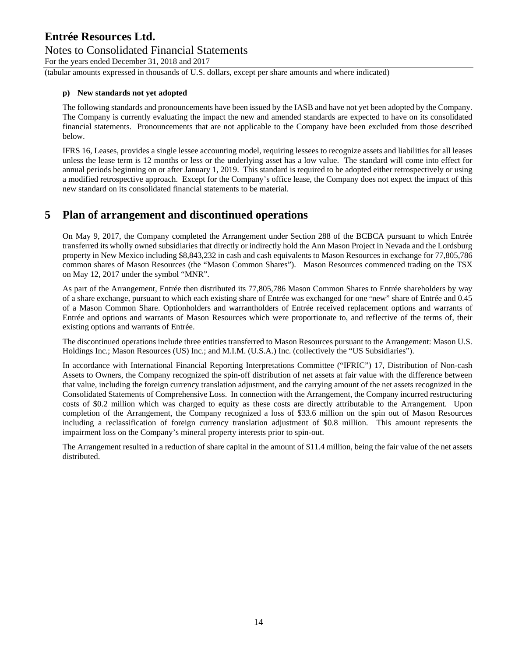### Notes to Consolidated Financial Statements

For the years ended December 31, 2018 and 2017

(tabular amounts expressed in thousands of U.S. dollars, except per share amounts and where indicated)

#### **p) New standards not yet adopted**

The following standards and pronouncements have been issued by the IASB and have not yet been adopted by the Company. The Company is currently evaluating the impact the new and amended standards are expected to have on its consolidated financial statements. Pronouncements that are not applicable to the Company have been excluded from those described below.

IFRS 16, Leases, provides a single lessee accounting model, requiring lessees to recognize assets and liabilities for all leases unless the lease term is 12 months or less or the underlying asset has a low value. The standard will come into effect for annual periods beginning on or after January 1, 2019. This standard is required to be adopted either retrospectively or using a modified retrospective approach. Except for the Company's office lease, the Company does not expect the impact of this new standard on its consolidated financial statements to be material.

### **5 Plan of arrangement and discontinued operations**

On May 9, 2017, the Company completed the Arrangement under Section 288 of the BCBCA pursuant to which Entrée transferred its wholly owned subsidiaries that directly or indirectly hold the Ann Mason Project in Nevada and the Lordsburg property in New Mexico including \$8,843,232 in cash and cash equivalents to Mason Resources in exchange for 77,805,786 common shares of Mason Resources (the "Mason Common Shares"). Mason Resources commenced trading on the TSX on May 12, 2017 under the symbol "MNR".

As part of the Arrangement, Entrée then distributed its 77,805,786 Mason Common Shares to Entrée shareholders by way of a share exchange, pursuant to which each existing share of Entrée was exchanged for one "new" share of Entrée and 0.45 of a Mason Common Share. Optionholders and warrantholders of Entrée received replacement options and warrants of Entrée and options and warrants of Mason Resources which were proportionate to, and reflective of the terms of, their existing options and warrants of Entrée.

The discontinued operations include three entities transferred to Mason Resources pursuant to the Arrangement: Mason U.S. Holdings Inc.; Mason Resources (US) Inc.; and M.I.M. (U.S.A.) Inc. (collectively the "US Subsidiaries").

In accordance with International Financial Reporting Interpretations Committee ("IFRIC") 17, Distribution of Non-cash Assets to Owners, the Company recognized the spin-off distribution of net assets at fair value with the difference between that value, including the foreign currency translation adjustment, and the carrying amount of the net assets recognized in the Consolidated Statements of Comprehensive Loss. In connection with the Arrangement, the Company incurred restructuring costs of \$0.2 million which was charged to equity as these costs are directly attributable to the Arrangement. Upon completion of the Arrangement, the Company recognized a loss of \$33.6 million on the spin out of Mason Resources including a reclassification of foreign currency translation adjustment of \$0.8 million. This amount represents the impairment loss on the Company's mineral property interests prior to spin-out.

The Arrangement resulted in a reduction of share capital in the amount of \$11.4 million, being the fair value of the net assets distributed.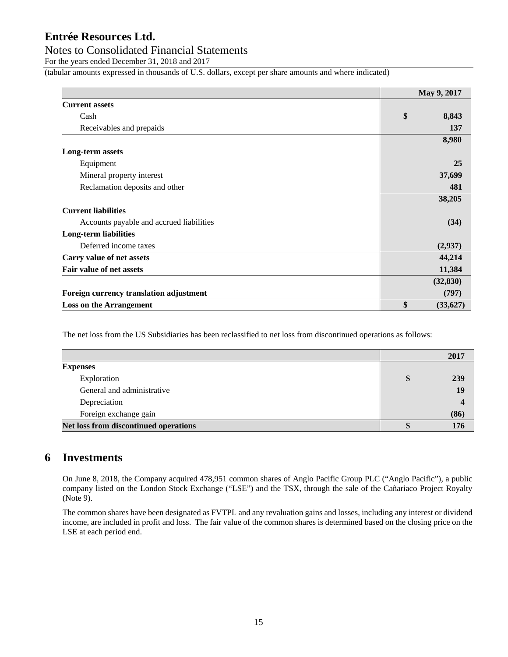#### Notes to Consolidated Financial Statements

For the years ended December 31, 2018 and 2017

(tabular amounts expressed in thousands of U.S. dollars, except per share amounts and where indicated)

|                                          | May 9, 2017     |
|------------------------------------------|-----------------|
| <b>Current assets</b>                    |                 |
| Cash                                     | \$<br>8,843     |
| Receivables and prepaids                 | 137             |
|                                          | 8,980           |
| Long-term assets                         |                 |
| Equipment                                | 25              |
| Mineral property interest                | 37,699          |
| Reclamation deposits and other           | 481             |
|                                          | 38,205          |
| <b>Current liabilities</b>               |                 |
| Accounts payable and accrued liabilities | (34)            |
| <b>Long-term liabilities</b>             |                 |
| Deferred income taxes                    | (2,937)         |
| Carry value of net assets                | 44,214          |
| Fair value of net assets                 | 11,384          |
|                                          | (32, 830)       |
| Foreign currency translation adjustment  | (797)           |
| <b>Loss on the Arrangement</b>           | \$<br>(33, 627) |

The net loss from the US Subsidiaries has been reclassified to net loss from discontinued operations as follows:

|                                       | 2017                     |
|---------------------------------------|--------------------------|
| <b>Expenses</b>                       |                          |
| Exploration                           | \$<br>239                |
| General and administrative            | 19                       |
| Depreciation                          | $\overline{\mathcal{L}}$ |
| Foreign exchange gain                 | (86)                     |
| Net loss from discontinued operations | 176                      |

### **6 Investments**

On June 8, 2018, the Company acquired 478,951 common shares of Anglo Pacific Group PLC ("Anglo Pacific"), a public company listed on the London Stock Exchange ("LSE") and the TSX, through the sale of the Cañariaco Project Royalty (Note 9).

The common shares have been designated as FVTPL and any revaluation gains and losses, including any interest or dividend income, are included in profit and loss. The fair value of the common shares is determined based on the closing price on the LSE at each period end.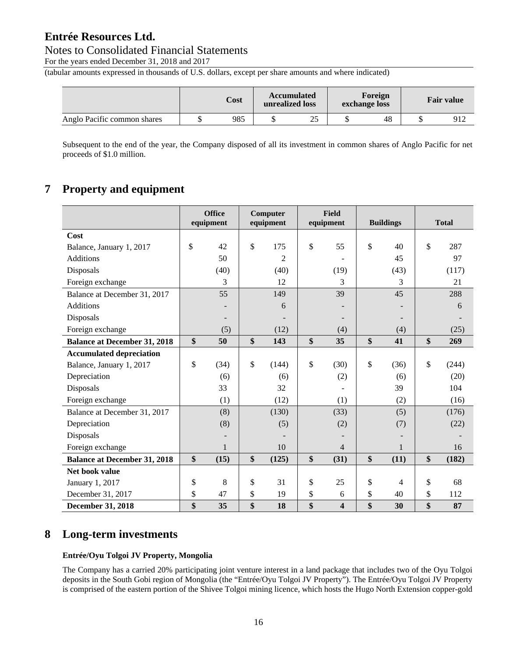#### Notes to Consolidated Financial Statements

For the years ended December 31, 2018 and 2017

(tabular amounts expressed in thousands of U.S. dollars, except per share amounts and where indicated)

|                             | Cost |  | <b>Accumulated</b><br>unrealized loss |  | Foreign<br>exchange loss |  |     | <b>Fair value</b> |  |
|-----------------------------|------|--|---------------------------------------|--|--------------------------|--|-----|-------------------|--|
| Anglo Pacific common shares | 985  |  | 25                                    |  | 48                       |  | 912 |                   |  |

Subsequent to the end of the year, the Company disposed of all its investment in common shares of Anglo Pacific for net proceeds of \$1.0 million.

### **7 Property and equipment**

|                                     | <b>Office</b><br>equipment | Computer<br>equipment | Field<br>equipment | <b>Buildings</b> |               | <b>Total</b> |
|-------------------------------------|----------------------------|-----------------------|--------------------|------------------|---------------|--------------|
| Cost                                |                            |                       |                    |                  |               |              |
| Balance, January 1, 2017            | \$<br>42                   | \$<br>175             | \$<br>55           | \$<br>40         | $\mathcal{S}$ | 287          |
| Additions                           | 50                         | $\overline{2}$        |                    | 45               |               | 97           |
| Disposals                           | (40)                       | (40)                  | (19)               | (43)             |               | (117)        |
| Foreign exchange                    | 3                          | 12                    | 3                  | 3                |               | 21           |
| Balance at December 31, 2017        | 55                         | 149                   | 39                 | 45               |               | 288          |
| Additions                           |                            | 6                     |                    |                  |               | 6            |
| Disposals                           |                            |                       |                    |                  |               |              |
| Foreign exchange                    | (5)                        | (12)                  | (4)                | (4)              |               | (25)         |
| <b>Balance at December 31, 2018</b> | \$<br>50                   | \$<br>143             | \$<br>35           | \$<br>41         | \$            | 269          |
| <b>Accumulated depreciation</b>     |                            |                       |                    |                  |               |              |
| Balance, January 1, 2017            | \$<br>(34)                 | \$<br>(144)           | \$<br>(30)         | \$<br>(36)       | $\mathcal{S}$ | (244)        |
| Depreciation                        | (6)                        | (6)                   | (2)                | (6)              |               | (20)         |
| Disposals                           | 33                         | 32                    |                    | 39               |               | 104          |
| Foreign exchange                    | (1)                        | (12)                  | (1)                | (2)              |               | (16)         |
| Balance at December 31, 2017        | (8)                        | (130)                 | (33)               | (5)              |               | (176)        |
| Depreciation                        | (8)                        | (5)                   | (2)                | (7)              |               | (22)         |
| Disposals                           |                            |                       |                    |                  |               |              |
| Foreign exchange                    |                            | 10                    | 4                  | 1                |               | 16           |
| <b>Balance at December 31, 2018</b> | \$<br>(15)                 | \$<br>(125)           | \$<br>(31)         | \$<br>(11)       | \$            | (182)        |
| Net book value                      |                            |                       |                    |                  |               |              |
| January 1, 2017                     | \$<br>8                    | \$<br>31              | \$<br>25           | \$<br>4          | \$            | 68           |
| December 31, 2017                   | \$<br>47                   | \$<br>19              | \$<br>6            | \$<br>40         | \$            | 112          |
| <b>December 31, 2018</b>            | \$<br>35                   | \$<br>18              | \$<br>4            | \$<br>30         | \$            | 87           |

### **8 Long-term investments**

#### **Entrée/Oyu Tolgoi JV Property, Mongolia**

The Company has a carried 20% participating joint venture interest in a land package that includes two of the Oyu Tolgoi deposits in the South Gobi region of Mongolia (the "Entrée/Oyu Tolgoi JV Property"). The Entrée/Oyu Tolgoi JV Property is comprised of the eastern portion of the Shivee Tolgoi mining licence, which hosts the Hugo North Extension copper-gold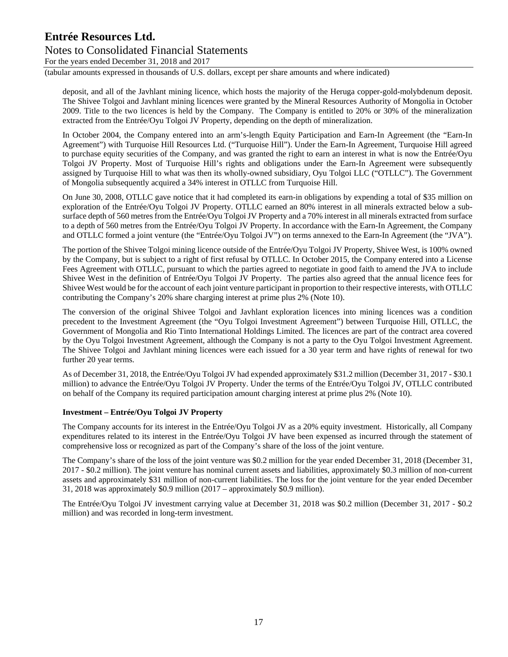### Notes to Consolidated Financial Statements

For the years ended December 31, 2018 and 2017

(tabular amounts expressed in thousands of U.S. dollars, except per share amounts and where indicated)

deposit, and all of the Javhlant mining licence, which hosts the majority of the Heruga copper-gold-molybdenum deposit. The Shivee Tolgoi and Javhlant mining licences were granted by the Mineral Resources Authority of Mongolia in October 2009. Title to the two licences is held by the Company. The Company is entitled to 20% or 30% of the mineralization extracted from the Entrée/Oyu Tolgoi JV Property, depending on the depth of mineralization.

In October 2004, the Company entered into an arm's-length Equity Participation and Earn-In Agreement (the "Earn-In Agreement") with Turquoise Hill Resources Ltd. ("Turquoise Hill"). Under the Earn-In Agreement, Turquoise Hill agreed to purchase equity securities of the Company, and was granted the right to earn an interest in what is now the Entrée/Oyu Tolgoi JV Property. Most of Turquoise Hill's rights and obligations under the Earn-In Agreement were subsequently assigned by Turquoise Hill to what was then its wholly-owned subsidiary, Oyu Tolgoi LLC ("OTLLC"). The Government of Mongolia subsequently acquired a 34% interest in OTLLC from Turquoise Hill.

On June 30, 2008, OTLLC gave notice that it had completed its earn-in obligations by expending a total of \$35 million on exploration of the Entrée/Oyu Tolgoi JV Property. OTLLC earned an 80% interest in all minerals extracted below a subsurface depth of 560 metres from the Entrée/Oyu Tolgoi JV Property and a 70% interest in all minerals extracted from surface to a depth of 560 metres from the Entrée/Oyu Tolgoi JV Property. In accordance with the Earn-In Agreement, the Company and OTLLC formed a joint venture (the "Entrée/Oyu Tolgoi JV") on terms annexed to the Earn-In Agreement (the "JVA").

The portion of the Shivee Tolgoi mining licence outside of the Entrée/Oyu Tolgoi JV Property, Shivee West, is 100% owned by the Company, but is subject to a right of first refusal by OTLLC. In October 2015, the Company entered into a License Fees Agreement with OTLLC, pursuant to which the parties agreed to negotiate in good faith to amend the JVA to include Shivee West in the definition of Entrée/Oyu Tolgoi JV Property. The parties also agreed that the annual licence fees for Shivee West would be for the account of each joint venture participant in proportion to their respective interests, with OTLLC contributing the Company's 20% share charging interest at prime plus 2% (Note 10).

The conversion of the original Shivee Tolgoi and Javhlant exploration licences into mining licences was a condition precedent to the Investment Agreement (the "Oyu Tolgoi Investment Agreement") between Turquoise Hill, OTLLC, the Government of Mongolia and Rio Tinto International Holdings Limited. The licences are part of the contract area covered by the Oyu Tolgoi Investment Agreement, although the Company is not a party to the Oyu Tolgoi Investment Agreement. The Shivee Tolgoi and Javhlant mining licences were each issued for a 30 year term and have rights of renewal for two further 20 year terms.

As of December 31, 2018, the Entrée/Oyu Tolgoi JV had expended approximately \$31.2 million (December 31, 2017 - \$30.1 million) to advance the Entrée/Oyu Tolgoi JV Property. Under the terms of the Entrée/Oyu Tolgoi JV, OTLLC contributed on behalf of the Company its required participation amount charging interest at prime plus 2% (Note 10).

#### **Investment – Entrée/Oyu Tolgoi JV Property**

The Company accounts for its interest in the Entrée/Oyu Tolgoi JV as a 20% equity investment. Historically, all Company expenditures related to its interest in the Entrée/Oyu Tolgoi JV have been expensed as incurred through the statement of comprehensive loss or recognized as part of the Company's share of the loss of the joint venture.

The Company's share of the loss of the joint venture was \$0.2 million for the year ended December 31, 2018 (December 31, 2017 - \$0.2 million). The joint venture has nominal current assets and liabilities, approximately \$0.3 million of non-current assets and approximately \$31 million of non-current liabilities. The loss for the joint venture for the year ended December 31, 2018 was approximately \$0.9 million (2017 – approximately \$0.9 million).

The Entrée/Oyu Tolgoi JV investment carrying value at December 31, 2018 was \$0.2 million (December 31, 2017 - \$0.2 million) and was recorded in long-term investment.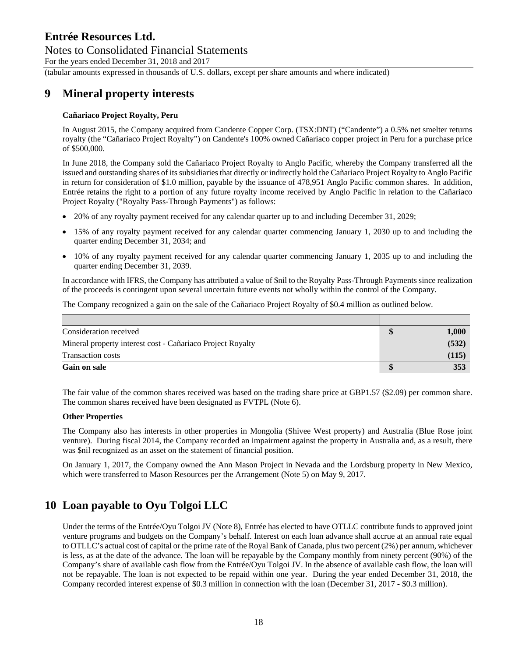## Notes to Consolidated Financial Statements

For the years ended December 31, 2018 and 2017

(tabular amounts expressed in thousands of U.S. dollars, except per share amounts and where indicated)

### **9 Mineral property interests**

#### **Cañariaco Project Royalty, Peru**

In August 2015, the Company acquired from Candente Copper Corp. (TSX:DNT) ("Candente") a 0.5% net smelter returns royalty (the "Cañariaco Project Royalty") on Candente's 100% owned Cañariaco copper project in Peru for a purchase price of \$500,000.

In June 2018, the Company sold the Cañariaco Project Royalty to Anglo Pacific, whereby the Company transferred all the issued and outstanding shares of its subsidiaries that directly or indirectly hold the Cañariaco Project Royalty to Anglo Pacific in return for consideration of \$1.0 million, payable by the issuance of 478,951 Anglo Pacific common shares. In addition, Entrée retains the right to a portion of any future royalty income received by Anglo Pacific in relation to the Cañariaco Project Royalty ("Royalty Pass-Through Payments") as follows:

- 20% of any royalty payment received for any calendar quarter up to and including December 31, 2029;
- 15% of any royalty payment received for any calendar quarter commencing January 1, 2030 up to and including the quarter ending December 31, 2034; and
- 10% of any royalty payment received for any calendar quarter commencing January 1, 2035 up to and including the quarter ending December 31, 2039.

In accordance with IFRS, the Company has attributed a value of \$nil to the Royalty Pass-Through Payments since realization of the proceeds is contingent upon several uncertain future events not wholly within the control of the Company.

The Company recognized a gain on the sale of the Cañariaco Project Royalty of \$0.4 million as outlined below.

| Consideration received                                     | 1,000 |
|------------------------------------------------------------|-------|
| Mineral property interest cost - Cañariaco Project Royalty | (532) |
| <b>Transaction costs</b>                                   | (115) |
| <b>Gain on sale</b>                                        | 353   |

The fair value of the common shares received was based on the trading share price at GBP1.57 (\$2.09) per common share. The common shares received have been designated as FVTPL (Note 6).

#### **Other Properties**

The Company also has interests in other properties in Mongolia (Shivee West property) and Australia (Blue Rose joint venture). During fiscal 2014, the Company recorded an impairment against the property in Australia and, as a result, there was \$nil recognized as an asset on the statement of financial position.

On January 1, 2017, the Company owned the Ann Mason Project in Nevada and the Lordsburg property in New Mexico, which were transferred to Mason Resources per the Arrangement (Note 5) on May 9, 2017.

### **10 Loan payable to Oyu Tolgoi LLC**

Under the terms of the Entrée/Oyu Tolgoi JV (Note 8), Entrée has elected to have OTLLC contribute funds to approved joint venture programs and budgets on the Company's behalf. Interest on each loan advance shall accrue at an annual rate equal to OTLLC's actual cost of capital or the prime rate of the Royal Bank of Canada, plus two percent (2%) per annum, whichever is less, as at the date of the advance. The loan will be repayable by the Company monthly from ninety percent (90%) of the Company's share of available cash flow from the Entrée/Oyu Tolgoi JV. In the absence of available cash flow, the loan will not be repayable. The loan is not expected to be repaid within one year. During the year ended December 31, 2018, the Company recorded interest expense of \$0.3 million in connection with the loan (December 31, 2017 - \$0.3 million).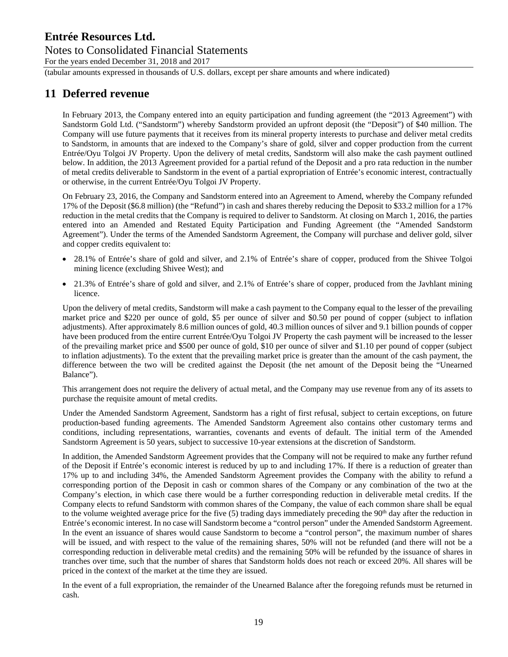### Notes to Consolidated Financial Statements

For the years ended December 31, 2018 and 2017

(tabular amounts expressed in thousands of U.S. dollars, except per share amounts and where indicated)

### **11 Deferred revenue**

In February 2013, the Company entered into an equity participation and funding agreement (the "2013 Agreement") with Sandstorm Gold Ltd. ("Sandstorm") whereby Sandstorm provided an upfront deposit (the "Deposit") of \$40 million. The Company will use future payments that it receives from its mineral property interests to purchase and deliver metal credits to Sandstorm, in amounts that are indexed to the Company's share of gold, silver and copper production from the current Entrée/Oyu Tolgoi JV Property. Upon the delivery of metal credits, Sandstorm will also make the cash payment outlined below. In addition, the 2013 Agreement provided for a partial refund of the Deposit and a pro rata reduction in the number of metal credits deliverable to Sandstorm in the event of a partial expropriation of Entrée's economic interest, contractually or otherwise, in the current Entrée/Oyu Tolgoi JV Property.

On February 23, 2016, the Company and Sandstorm entered into an Agreement to Amend, whereby the Company refunded 17% of the Deposit (\$6.8 million) (the "Refund") in cash and shares thereby reducing the Deposit to \$33.2 million for a 17% reduction in the metal credits that the Company is required to deliver to Sandstorm. At closing on March 1, 2016, the parties entered into an Amended and Restated Equity Participation and Funding Agreement (the "Amended Sandstorm Agreement"). Under the terms of the Amended Sandstorm Agreement, the Company will purchase and deliver gold, silver and copper credits equivalent to:

- 28.1% of Entrée's share of gold and silver, and 2.1% of Entrée's share of copper, produced from the Shivee Tolgoi mining licence (excluding Shivee West); and
- 21.3% of Entrée's share of gold and silver, and 2.1% of Entrée's share of copper, produced from the Javhlant mining licence.

Upon the delivery of metal credits, Sandstorm will make a cash payment to the Company equal to the lesser of the prevailing market price and \$220 per ounce of gold, \$5 per ounce of silver and \$0.50 per pound of copper (subject to inflation adjustments). After approximately 8.6 million ounces of gold, 40.3 million ounces of silver and 9.1 billion pounds of copper have been produced from the entire current Entrée/Oyu Tolgoi JV Property the cash payment will be increased to the lesser of the prevailing market price and \$500 per ounce of gold, \$10 per ounce of silver and \$1.10 per pound of copper (subject to inflation adjustments). To the extent that the prevailing market price is greater than the amount of the cash payment, the difference between the two will be credited against the Deposit (the net amount of the Deposit being the "Unearned Balance").

This arrangement does not require the delivery of actual metal, and the Company may use revenue from any of its assets to purchase the requisite amount of metal credits.

Under the Amended Sandstorm Agreement, Sandstorm has a right of first refusal, subject to certain exceptions, on future production-based funding agreements. The Amended Sandstorm Agreement also contains other customary terms and conditions, including representations, warranties, covenants and events of default. The initial term of the Amended Sandstorm Agreement is 50 years, subject to successive 10-year extensions at the discretion of Sandstorm.

In addition, the Amended Sandstorm Agreement provides that the Company will not be required to make any further refund of the Deposit if Entrée's economic interest is reduced by up to and including 17%. If there is a reduction of greater than 17% up to and including 34%, the Amended Sandstorm Agreement provides the Company with the ability to refund a corresponding portion of the Deposit in cash or common shares of the Company or any combination of the two at the Company's election, in which case there would be a further corresponding reduction in deliverable metal credits. If the Company elects to refund Sandstorm with common shares of the Company, the value of each common share shall be equal to the volume weighted average price for the five (5) trading days immediately preceding the 90<sup>th</sup> day after the reduction in Entrée's economic interest. In no case will Sandstorm become a "control person" under the Amended Sandstorm Agreement. In the event an issuance of shares would cause Sandstorm to become a "control person", the maximum number of shares will be issued, and with respect to the value of the remaining shares, 50% will not be refunded (and there will not be a corresponding reduction in deliverable metal credits) and the remaining 50% will be refunded by the issuance of shares in tranches over time, such that the number of shares that Sandstorm holds does not reach or exceed 20%. All shares will be priced in the context of the market at the time they are issued.

In the event of a full expropriation, the remainder of the Unearned Balance after the foregoing refunds must be returned in cash.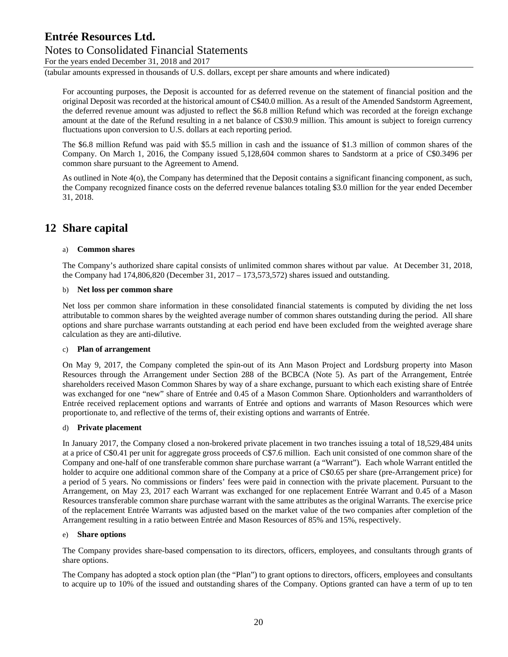### Notes to Consolidated Financial Statements

For the years ended December 31, 2018 and 2017

(tabular amounts expressed in thousands of U.S. dollars, except per share amounts and where indicated)

For accounting purposes, the Deposit is accounted for as deferred revenue on the statement of financial position and the original Deposit was recorded at the historical amount of C\$40.0 million. As a result of the Amended Sandstorm Agreement, the deferred revenue amount was adjusted to reflect the \$6.8 million Refund which was recorded at the foreign exchange amount at the date of the Refund resulting in a net balance of C\$30.9 million. This amount is subject to foreign currency fluctuations upon conversion to U.S. dollars at each reporting period.

The \$6.8 million Refund was paid with \$5.5 million in cash and the issuance of \$1.3 million of common shares of the Company. On March 1, 2016, the Company issued 5,128,604 common shares to Sandstorm at a price of C\$0.3496 per common share pursuant to the Agreement to Amend.

As outlined in Note 4(o), the Company has determined that the Deposit contains a significant financing component, as such, the Company recognized finance costs on the deferred revenue balances totaling \$3.0 million for the year ended December 31, 2018.

### **12 Share capital**

#### a) **Common shares**

The Company's authorized share capital consists of unlimited common shares without par value. At December 31, 2018, the Company had  $174,806,820$  (December 31,  $2017 - 173,573,572$ ) shares issued and outstanding.

#### b) **Net loss per common share**

Net loss per common share information in these consolidated financial statements is computed by dividing the net loss attributable to common shares by the weighted average number of common shares outstanding during the period. All share options and share purchase warrants outstanding at each period end have been excluded from the weighted average share calculation as they are anti-dilutive.

#### c) **Plan of arrangement**

On May 9, 2017, the Company completed the spin-out of its Ann Mason Project and Lordsburg property into Mason Resources through the Arrangement under Section 288 of the BCBCA (Note 5). As part of the Arrangement, Entrée shareholders received Mason Common Shares by way of a share exchange, pursuant to which each existing share of Entrée was exchanged for one "new" share of Entrée and 0.45 of a Mason Common Share. Optionholders and warrantholders of Entrée received replacement options and warrants of Entrée and options and warrants of Mason Resources which were proportionate to, and reflective of the terms of, their existing options and warrants of Entrée.

#### d) **Private placement**

In January 2017, the Company closed a non-brokered private placement in two tranches issuing a total of 18,529,484 units at a price of C\$0.41 per unit for aggregate gross proceeds of C\$7.6 million. Each unit consisted of one common share of the Company and one-half of one transferable common share purchase warrant (a "Warrant"). Each whole Warrant entitled the holder to acquire one additional common share of the Company at a price of C\$0.65 per share (pre-Arrangement price) for a period of 5 years. No commissions or finders' fees were paid in connection with the private placement. Pursuant to the Arrangement, on May 23, 2017 each Warrant was exchanged for one replacement Entrée Warrant and 0.45 of a Mason Resources transferable common share purchase warrant with the same attributes as the original Warrants. The exercise price of the replacement Entrée Warrants was adjusted based on the market value of the two companies after completion of the Arrangement resulting in a ratio between Entrée and Mason Resources of 85% and 15%, respectively.

#### e) **Share options**

The Company provides share-based compensation to its directors, officers, employees, and consultants through grants of share options.

The Company has adopted a stock option plan (the "Plan") to grant options to directors, officers, employees and consultants to acquire up to 10% of the issued and outstanding shares of the Company. Options granted can have a term of up to ten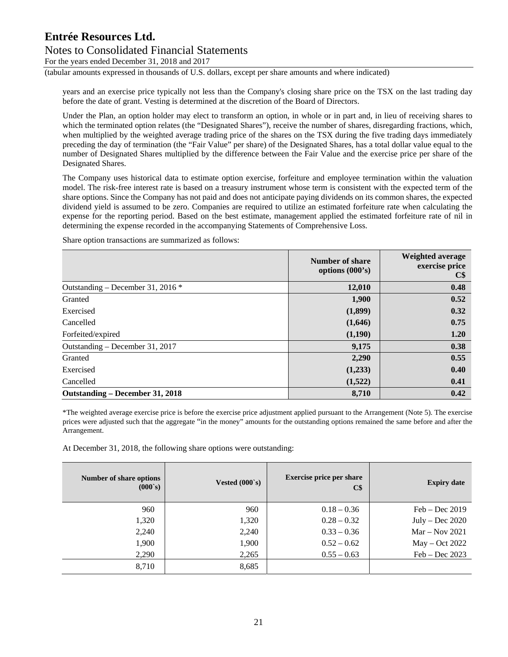### Notes to Consolidated Financial Statements

For the years ended December 31, 2018 and 2017

(tabular amounts expressed in thousands of U.S. dollars, except per share amounts and where indicated)

years and an exercise price typically not less than the Company's closing share price on the TSX on the last trading day before the date of grant. Vesting is determined at the discretion of the Board of Directors.

Under the Plan, an option holder may elect to transform an option, in whole or in part and, in lieu of receiving shares to which the terminated option relates (the "Designated Shares"), receive the number of shares, disregarding fractions, which, when multiplied by the weighted average trading price of the shares on the TSX during the five trading days immediately preceding the day of termination (the "Fair Value" per share) of the Designated Shares, has a total dollar value equal to the number of Designated Shares multiplied by the difference between the Fair Value and the exercise price per share of the Designated Shares.

The Company uses historical data to estimate option exercise, forfeiture and employee termination within the valuation model. The risk-free interest rate is based on a treasury instrument whose term is consistent with the expected term of the share options. Since the Company has not paid and does not anticipate paying dividends on its common shares, the expected dividend yield is assumed to be zero. Companies are required to utilize an estimated forfeiture rate when calculating the expense for the reporting period. Based on the best estimate, management applied the estimated forfeiture rate of nil in determining the expense recorded in the accompanying Statements of Comprehensive Loss.

Share option transactions are summarized as follows:

|                                     | Number of share<br>options $(000's)$ | Weighted average<br>exercise price<br>$\mathbf{C}\mathbf{\$}$ |
|-------------------------------------|--------------------------------------|---------------------------------------------------------------|
| Outstanding – December 31, 2016 $*$ | 12,010                               | 0.48                                                          |
| Granted                             | 1,900                                | 0.52                                                          |
| Exercised                           | (1,899)                              | 0.32                                                          |
| Cancelled                           | (1,646)                              | 0.75                                                          |
| Forfeited/expired                   | (1,190)                              | 1.20                                                          |
| Outstanding - December 31, 2017     | 9,175                                | 0.38                                                          |
| Granted                             | 2,290                                | 0.55                                                          |
| Exercised                           | (1,233)                              | 0.40                                                          |
| Cancelled                           | (1,522)                              | 0.41                                                          |
| Outstanding – December 31, 2018     | 8,710                                | 0.42                                                          |

\*The weighted average exercise price is before the exercise price adjustment applied pursuant to the Arrangement (Note 5). The exercise prices were adjusted such that the aggregate "in the money" amounts for the outstanding options remained the same before and after the Arrangement.

At December 31, 2018, the following share options were outstanding:

| Number of share options<br>$(000 \text{ s})$ | Vested $(000s)$ | <b>Exercise price per share</b><br>$\mathbf{C}\mathbf{\$}$ | <b>Expiry date</b> |
|----------------------------------------------|-----------------|------------------------------------------------------------|--------------------|
| 960                                          | 960             | $0.18 - 0.36$                                              | $Feb - Dec 2019$   |
| 1,320                                        | 1,320           | $0.28 - 0.32$                                              | $July - Dec 2020$  |
| 2,240                                        | 2,240           | $0.33 - 0.36$                                              | $Mar - Nov 2021$   |
| 1,900                                        | 1,900           | $0.52 - 0.62$                                              | May – Oct 2022     |
| 2,290                                        | 2,265           | $0.55 - 0.63$                                              | $Feb - Dec 2023$   |
| 8,710                                        | 8,685           |                                                            |                    |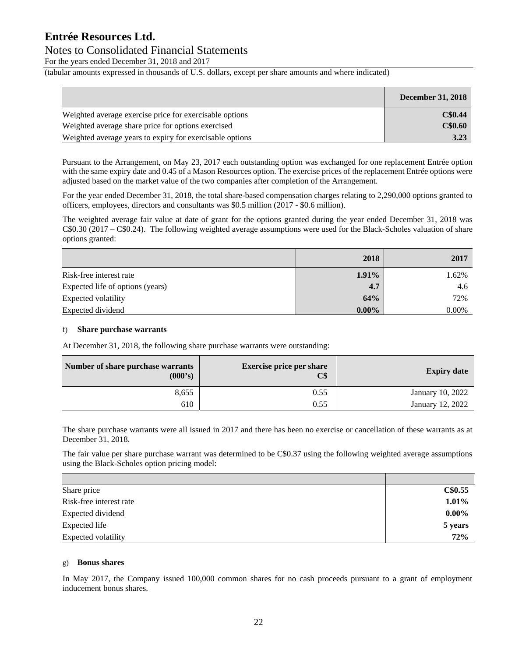### Notes to Consolidated Financial Statements

For the years ended December 31, 2018 and 2017

(tabular amounts expressed in thousands of U.S. dollars, except per share amounts and where indicated)

|                                                          | <b>December 31, 2018</b> |
|----------------------------------------------------------|--------------------------|
| Weighted average exercise price for exercisable options  | C\$0.44                  |
| Weighted average share price for options exercised       | C\$0.60                  |
| Weighted average years to expiry for exercisable options | 3.23                     |

Pursuant to the Arrangement, on May 23, 2017 each outstanding option was exchanged for one replacement Entrée option with the same expiry date and 0.45 of a Mason Resources option. The exercise prices of the replacement Entrée options were adjusted based on the market value of the two companies after completion of the Arrangement.

For the year ended December 31, 2018, the total share-based compensation charges relating to 2,290,000 options granted to officers, employees, directors and consultants was \$0.5 million (2017 - \$0.6 million).

The weighted average fair value at date of grant for the options granted during the year ended December 31, 2018 was C\$0.30 (2017 – C\$0.24). The following weighted average assumptions were used for the Black-Scholes valuation of share options granted:

|                                  | 2018     | 2017     |
|----------------------------------|----------|----------|
| Risk-free interest rate          | 1.91%    | 1.62%    |
| Expected life of options (years) | 4.7      | 4.6      |
| Expected volatility              | 64%      | 72%      |
| Expected dividend                | $0.00\%$ | $0.00\%$ |

#### f) **Share purchase warrants**

At December 31, 2018, the following share purchase warrants were outstanding:

| <b>Expiry date</b> | <b>Exercise price per share</b><br>C\$ | Number of share purchase warrants<br>(000's) |
|--------------------|----------------------------------------|----------------------------------------------|
| January 10, 2022   | 0.55                                   | 8,655                                        |
| January 12, 2022   | 0.55                                   | 610                                          |

The share purchase warrants were all issued in 2017 and there has been no exercise or cancellation of these warrants as at December 31, 2018.

The fair value per share purchase warrant was determined to be C\$0.37 using the following weighted average assumptions using the Black-Scholes option pricing model:

| Share price             | C\$0.55  |
|-------------------------|----------|
| Risk-free interest rate | 1.01%    |
| Expected dividend       | $0.00\%$ |
| Expected life           | 5 years  |
| Expected volatility     | 72%      |

#### g) **Bonus shares**

In May 2017, the Company issued 100,000 common shares for no cash proceeds pursuant to a grant of employment inducement bonus shares.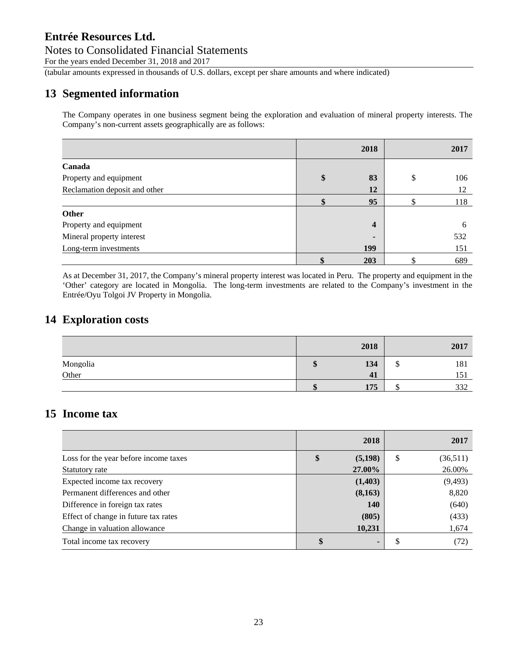### Notes to Consolidated Financial Statements

For the years ended December 31, 2018 and 2017

(tabular amounts expressed in thousands of U.S. dollars, except per share amounts and where indicated)

### **13 Segmented information**

The Company operates in one business segment being the exploration and evaluation of mineral property interests. The Company's non-current assets geographically are as follows:

|                               | 2018                    | 2017      |
|-------------------------------|-------------------------|-----------|
| Canada                        |                         |           |
| Property and equipment        | \$<br>83                | \$<br>106 |
| Reclamation deposit and other | 12                      | 12        |
|                               | 95                      | 118       |
| <b>Other</b>                  |                         |           |
| Property and equipment        | $\overline{\mathbf{4}}$ | 6         |
| Mineral property interest     | -                       | 532       |
| Long-term investments         | 199                     | 151       |
|                               | 203                     | 689       |

As at December 31, 2017, the Company's mineral property interest was located in Peru. The property and equipment in the 'Other' category are located in Mongolia. The long-term investments are related to the Company's investment in the Entrée/Oyu Tolgoi JV Property in Mongolia.

### **14 Exploration costs**

|          |    | 2018 |   | 2017 |
|----------|----|------|---|------|
| Mongolia | ۱J | 134  | w | 181  |
| Other    |    | 41   |   | 151  |
|          |    | 175  |   | 332  |

### **15 Income tax**

|                                       | 2018                 |              | 2017     |
|---------------------------------------|----------------------|--------------|----------|
| Loss for the year before income taxes | \$<br>(5, 198)       | <sup>S</sup> | (36,511) |
| Statutory rate                        | 27.00%               |              | 26.00%   |
| Expected income tax recovery          | (1,403)              |              | (9, 493) |
| Permanent differences and other       | (8,163)              |              | 8,820    |
| Difference in foreign tax rates       | <b>140</b>           |              | (640)    |
| Effect of change in future tax rates  | (805)                |              | (433)    |
| Change in valuation allowance         | 10,231               |              | 1,674    |
| Total income tax recovery             | \$<br>$\blacksquare$ |              | (72)     |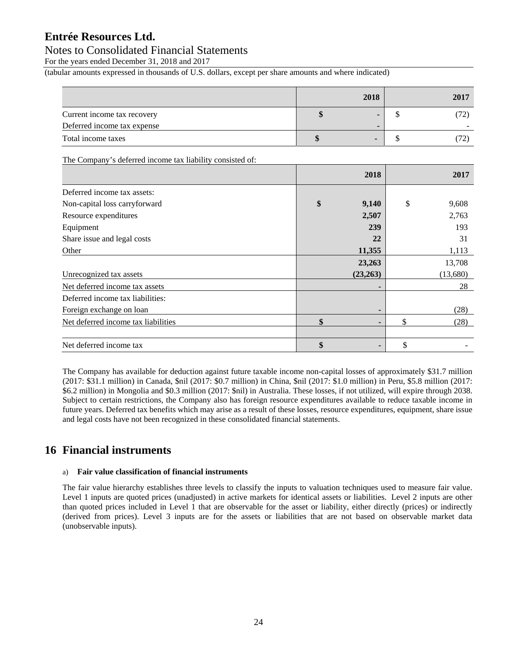### Notes to Consolidated Financial Statements

For the years ended December 31, 2018 and 2017

(tabular amounts expressed in thousands of U.S. dollars, except per share amounts and where indicated)

|                             | 2018 | 2017 |
|-----------------------------|------|------|
| Current income tax recovery |      | 72)  |
| Deferred income tax expense |      |      |
| Total income taxes          |      |      |

The Company's deferred income tax liability consisted of:

|                                     | 2018        | 2017        |
|-------------------------------------|-------------|-------------|
| Deferred income tax assets:         |             |             |
| Non-capital loss carryforward       | \$<br>9,140 | \$<br>9,608 |
| Resource expenditures               | 2,507       | 2,763       |
| Equipment                           | 239         | 193         |
| Share issue and legal costs         | 22          | 31          |
| Other                               | 11,355      | 1,113       |
|                                     | 23,263      | 13,708      |
| Unrecognized tax assets             | (23,263)    | (13,680)    |
| Net deferred income tax assets      |             | 28          |
| Deferred income tax liabilities:    |             |             |
| Foreign exchange on loan            |             | (28)        |
| Net deferred income tax liabilities | \$          | \$<br>(28)  |
|                                     |             |             |
| Net deferred income tax             | \$          | \$          |

The Company has available for deduction against future taxable income non-capital losses of approximately \$31.7 million (2017: \$31.1 million) in Canada, \$nil (2017: \$0.7 million) in China, \$nil (2017: \$1.0 million) in Peru, \$5.8 million (2017: \$6.2 million) in Mongolia and \$0.3 million (2017: \$nil) in Australia. These losses, if not utilized, will expire through 2038. Subject to certain restrictions, the Company also has foreign resource expenditures available to reduce taxable income in future years. Deferred tax benefits which may arise as a result of these losses, resource expenditures, equipment, share issue and legal costs have not been recognized in these consolidated financial statements.

### **16 Financial instruments**

#### a) **Fair value classification of financial instruments**

The fair value hierarchy establishes three levels to classify the inputs to valuation techniques used to measure fair value. Level 1 inputs are quoted prices (unadjusted) in active markets for identical assets or liabilities. Level 2 inputs are other than quoted prices included in Level 1 that are observable for the asset or liability, either directly (prices) or indirectly (derived from prices). Level 3 inputs are for the assets or liabilities that are not based on observable market data (unobservable inputs).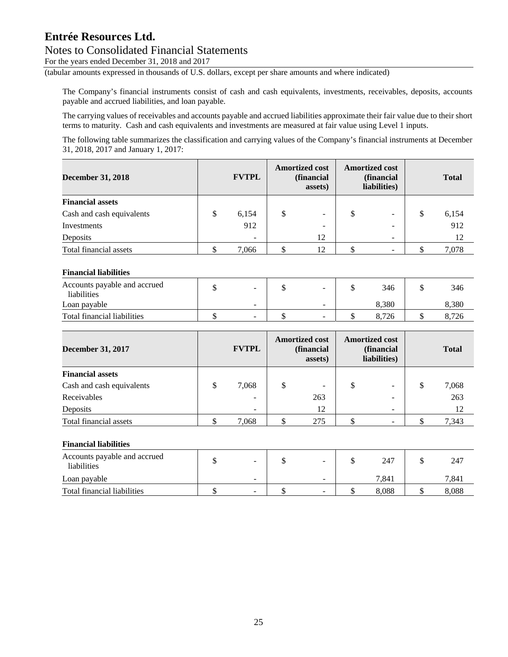### Notes to Consolidated Financial Statements

For the years ended December 31, 2018 and 2017

(tabular amounts expressed in thousands of U.S. dollars, except per share amounts and where indicated)

The Company's financial instruments consist of cash and cash equivalents, investments, receivables, deposits, accounts payable and accrued liabilities, and loan payable.

The carrying values of receivables and accounts payable and accrued liabilities approximate their fair value due to their short terms to maturity. Cash and cash equivalents and investments are measured at fair value using Level 1 inputs.

The following table summarizes the classification and carrying values of the Company's financial instruments at December 31, 2018, 2017 and January 1, 2017:

| <b>December 31, 2018</b>  | <b>FVTPL</b>             | <b>Amortized cost</b><br>(financial<br>assets) | <b>Amortized cost</b> | (financial<br>liabilities) | <b>Total</b> |
|---------------------------|--------------------------|------------------------------------------------|-----------------------|----------------------------|--------------|
| <b>Financial assets</b>   |                          |                                                |                       |                            |              |
| Cash and cash equivalents | \$<br>6,154              | \$<br>$\overline{\phantom{a}}$                 | S                     | $\overline{\phantom{a}}$   | \$<br>6,154  |
| Investments               | 912                      | ÷                                              |                       |                            | 912          |
| Deposits                  | $\overline{\phantom{0}}$ | 12                                             |                       |                            | 12           |
| Total financial assets    | 7,066                    | 12                                             |                       | -                          | 7,078        |

#### **Financial liabilities**

| Accounts payable and accrued<br>liabilities | - | $\sim$                   | 346   | 346   |
|---------------------------------------------|---|--------------------------|-------|-------|
| Loan payable                                | - | $\overline{\phantom{a}}$ | 8.380 | 8.380 |
| Total financial liabilities                 | - | $\overline{\phantom{0}}$ | 726   | 8.726 |

| <b>December 31, 2017</b>  | <b>FVTPL</b>             | <b>Amortized cost</b><br>(financial<br>assets) | <b>Amortized cost</b> | (financial<br>liabilities) |   | <b>Total</b> |
|---------------------------|--------------------------|------------------------------------------------|-----------------------|----------------------------|---|--------------|
| <b>Financial assets</b>   |                          |                                                |                       |                            |   |              |
| Cash and cash equivalents | \$<br>7,068              | \$<br>-                                        |                       | $\overline{\phantom{0}}$   | S | 7,068        |
| Receivables               |                          | 263                                            |                       |                            |   | 263          |
| Deposits                  | $\overline{\phantom{0}}$ | 12                                             |                       | $\overline{\phantom{0}}$   |   | 12           |
| Total financial assets    | 7,068                    | 275                                            |                       |                            |   | 7,343        |

#### **Financial liabilities**

| Accounts payable and accrued<br>liabilities | $\overline{\phantom{a}}$ | - | 247   | 247   |
|---------------------------------------------|--------------------------|---|-------|-------|
| Loan payable                                | -                        | - | 7.841 | 7.841 |
| Total financial liabilities                 | -                        | - | 8.088 | 8.088 |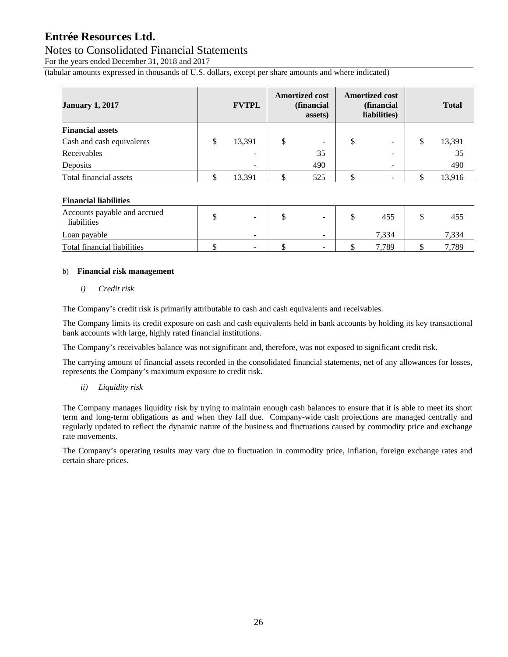### Notes to Consolidated Financial Statements

For the years ended December 31, 2018 and 2017

(tabular amounts expressed in thousands of U.S. dollars, except per share amounts and where indicated)

| <b>January 1, 2017</b>    | <b>FVTPL</b> |                          | <b>Amortized cost</b><br>(financial<br>assets) | <b>Amortized cost</b><br>(financial<br>liabilities) |    | <b>Total</b> |
|---------------------------|--------------|--------------------------|------------------------------------------------|-----------------------------------------------------|----|--------------|
| <b>Financial assets</b>   |              |                          |                                                |                                                     |    |              |
| Cash and cash equivalents | S            | 13,391                   | \$<br>$\overline{\phantom{a}}$                 | \$<br>$\overline{\phantom{a}}$                      | \$ | 13,391       |
| Receivables               |              | $\sim$                   | 35                                             | $\overline{\phantom{a}}$                            |    | 35           |
| Deposits                  |              | $\overline{\phantom{0}}$ | 490                                            | $\overline{\phantom{a}}$                            |    | 490          |
| Total financial assets    |              | 13,391                   | \$<br>525                                      | \$                                                  |    | 13.916       |

#### **Financial liabilities**

| Accounts payable and accrued<br>liabilities | $\overline{\phantom{a}}$ | $\overline{\phantom{0}}$ | 455  | 455  |
|---------------------------------------------|--------------------------|--------------------------|------|------|
| Loan payable                                | $\sim$                   | -                        | 334, | .334 |
| Total financial liabilities                 | -                        | $\sim$                   | .789 | .789 |

#### b) **Financial risk management**

*i) Credit risk* 

The Company's credit risk is primarily attributable to cash and cash equivalents and receivables.

The Company limits its credit exposure on cash and cash equivalents held in bank accounts by holding its key transactional bank accounts with large, highly rated financial institutions.

The Company's receivables balance was not significant and, therefore, was not exposed to significant credit risk.

The carrying amount of financial assets recorded in the consolidated financial statements, net of any allowances for losses, represents the Company's maximum exposure to credit risk.

*ii) Liquidity risk* 

The Company manages liquidity risk by trying to maintain enough cash balances to ensure that it is able to meet its short term and long-term obligations as and when they fall due. Company-wide cash projections are managed centrally and regularly updated to reflect the dynamic nature of the business and fluctuations caused by commodity price and exchange rate movements.

The Company's operating results may vary due to fluctuation in commodity price, inflation, foreign exchange rates and certain share prices.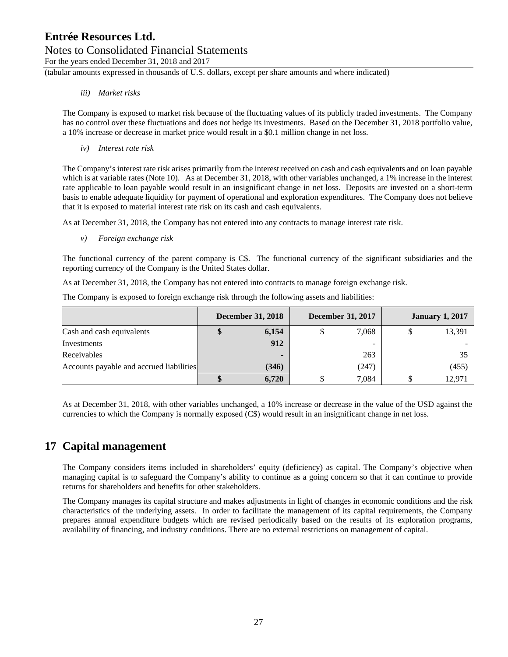### Notes to Consolidated Financial Statements

For the years ended December 31, 2018 and 2017

(tabular amounts expressed in thousands of U.S. dollars, except per share amounts and where indicated)

#### *iii) Market risks*

The Company is exposed to market risk because of the fluctuating values of its publicly traded investments. The Company has no control over these fluctuations and does not hedge its investments. Based on the December 31, 2018 portfolio value, a 10% increase or decrease in market price would result in a \$0.1 million change in net loss.

*iv) Interest rate risk* 

The Company's interest rate risk arises primarily from the interest received on cash and cash equivalents and on loan payable which is at variable rates (Note 10). As at December 31, 2018, with other variables unchanged, a 1% increase in the interest rate applicable to loan payable would result in an insignificant change in net loss. Deposits are invested on a short-term basis to enable adequate liquidity for payment of operational and exploration expenditures. The Company does not believe that it is exposed to material interest rate risk on its cash and cash equivalents.

As at December 31, 2018, the Company has not entered into any contracts to manage interest rate risk.

*v) Foreign exchange risk* 

The functional currency of the parent company is C\$. The functional currency of the significant subsidiaries and the reporting currency of the Company is the United States dollar.

As at December 31, 2018, the Company has not entered into contracts to manage foreign exchange risk.

The Company is exposed to foreign exchange risk through the following assets and liabilities:

|                                          | <b>December 31, 2018</b> | <b>December 31, 2017</b> | <b>January 1, 2017</b> |
|------------------------------------------|--------------------------|--------------------------|------------------------|
| Cash and cash equivalents                | 6,154                    | 7,068                    | 13,391                 |
| Investments                              | 912                      | -                        |                        |
| Receivables                              | -                        | 263                      | 35                     |
| Accounts payable and accrued liabilities | (346)                    | (247)                    | (455)                  |
|                                          | 6.720                    | 7,084                    | 12,971                 |

As at December 31, 2018, with other variables unchanged, a 10% increase or decrease in the value of the USD against the currencies to which the Company is normally exposed (C\$) would result in an insignificant change in net loss.

### **17 Capital management**

The Company considers items included in shareholders' equity (deficiency) as capital. The Company's objective when managing capital is to safeguard the Company's ability to continue as a going concern so that it can continue to provide returns for shareholders and benefits for other stakeholders.

The Company manages its capital structure and makes adjustments in light of changes in economic conditions and the risk characteristics of the underlying assets. In order to facilitate the management of its capital requirements, the Company prepares annual expenditure budgets which are revised periodically based on the results of its exploration programs, availability of financing, and industry conditions. There are no external restrictions on management of capital.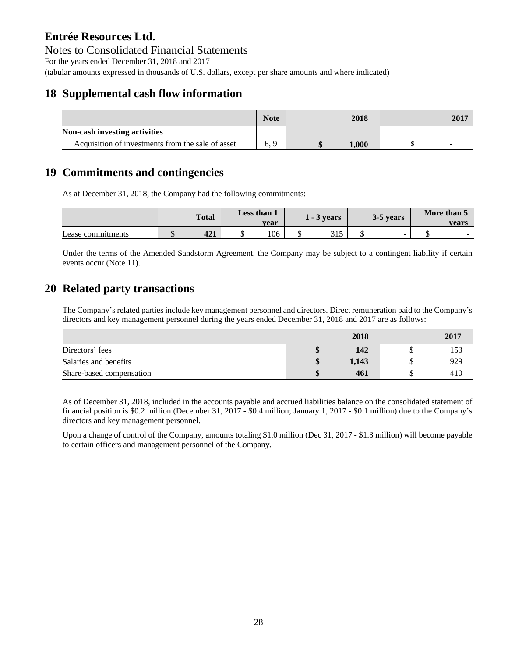Notes to Consolidated Financial Statements

For the years ended December 31, 2018 and 2017

(tabular amounts expressed in thousands of U.S. dollars, except per share amounts and where indicated)

### **18 Supplemental cash flow information**

|                                                   | <b>Note</b> | 2018  | 2017 |
|---------------------------------------------------|-------------|-------|------|
| Non-cash investing activities                     |             |       |      |
| Acquisition of investments from the sale of asset | 6.9         | 1,000 |      |

### **19 Commitments and contingencies**

As at December 31, 2018, the Company had the following commitments:

|                   | <b>Total</b> | Less than 1<br>vear | $-3$ vears |              | 3-5 years | More than 5<br>vears |        |
|-------------------|--------------|---------------------|------------|--------------|-----------|----------------------|--------|
| Lease commitments | 101<br>421   | 106                 |            | つ15<br>J 1 J |           | -                    | $\sim$ |

Under the terms of the Amended Sandstorm Agreement, the Company may be subject to a contingent liability if certain events occur (Note 11).

### **20 Related party transactions**

The Company's related parties include key management personnel and directors. Direct remuneration paid to the Company's directors and key management personnel during the years ended December 31, 2018 and 2017 are as follows:

|                          |    | 2018  | 2017 |
|--------------------------|----|-------|------|
| Directors' fees          |    | 142   | 153  |
| Salaries and benefits    | ٨D | 1,143 | 929  |
| Share-based compensation |    | 461   | 410  |

As of December 31, 2018, included in the accounts payable and accrued liabilities balance on the consolidated statement of financial position is \$0.2 million (December 31, 2017 - \$0.4 million; January 1, 2017 - \$0.1 million) due to the Company's directors and key management personnel.

Upon a change of control of the Company, amounts totaling \$1.0 million (Dec 31, 2017 - \$1.3 million) will become payable to certain officers and management personnel of the Company.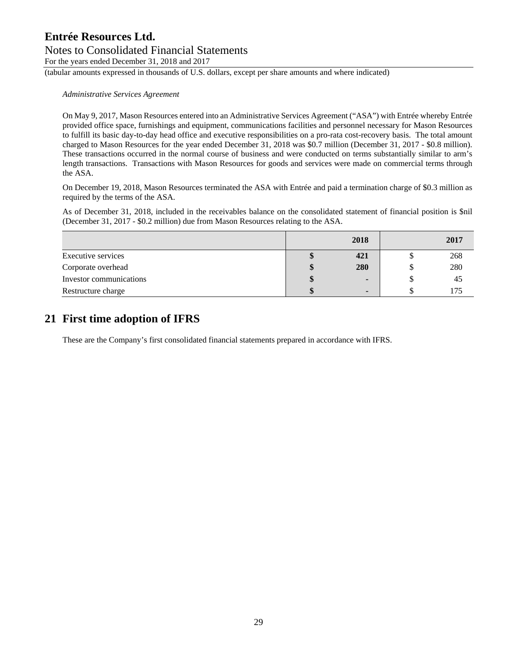### Notes to Consolidated Financial Statements

For the years ended December 31, 2018 and 2017

(tabular amounts expressed in thousands of U.S. dollars, except per share amounts and where indicated)

*Administrative Services Agreement* 

On May 9, 2017, Mason Resources entered into an Administrative Services Agreement ("ASA") with Entrée whereby Entrée provided office space, furnishings and equipment, communications facilities and personnel necessary for Mason Resources to fulfill its basic day-to-day head office and executive responsibilities on a pro-rata cost-recovery basis. The total amount charged to Mason Resources for the year ended December 31, 2018 was \$0.7 million (December 31, 2017 - \$0.8 million). These transactions occurred in the normal course of business and were conducted on terms substantially similar to arm's length transactions. Transactions with Mason Resources for goods and services were made on commercial terms through the ASA.

On December 19, 2018, Mason Resources terminated the ASA with Entrée and paid a termination charge of \$0.3 million as required by the terms of the ASA.

As of December 31, 2018, included in the receivables balance on the consolidated statement of financial position is \$nil (December 31, 2017 - \$0.2 million) due from Mason Resources relating to the ASA.

|                         |              | 2018 | 2017 |
|-------------------------|--------------|------|------|
| Executive services      |              | 421  | 268  |
| Corporate overhead      | $\mathbf{r}$ | 280  | 280  |
| Investor communications | Φ            |      | 45   |
| Restructure charge      | Φ            |      | 75   |

### **21 First time adoption of IFRS**

These are the Company's first consolidated financial statements prepared in accordance with IFRS.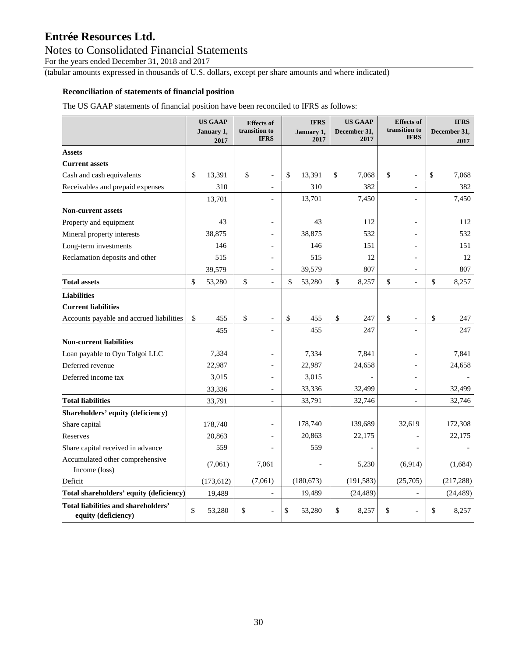### Notes to Consolidated Financial Statements

For the years ended December 31, 2018 and 2017

(tabular amounts expressed in thousands of U.S. dollars, except per share amounts and where indicated)

#### **Reconciliation of statements of financial position**

The US GAAP statements of financial position have been reconciled to IFRS as follows:

|                                                            | <b>US GAAP</b><br>January 1,<br>2017 | <b>Effects</b> of<br>transition to<br><b>IFRS</b> | <b>IFRS</b><br>January 1,<br>2017 | <b>US GAAP</b><br>December 31,<br>2017 | <b>Effects of</b><br>transition to<br><b>IFRS</b> | <b>IFRS</b><br>December 31,<br>2017 |
|------------------------------------------------------------|--------------------------------------|---------------------------------------------------|-----------------------------------|----------------------------------------|---------------------------------------------------|-------------------------------------|
| <b>Assets</b>                                              |                                      |                                                   |                                   |                                        |                                                   |                                     |
| <b>Current assets</b>                                      |                                      |                                                   |                                   |                                        |                                                   |                                     |
| Cash and cash equivalents                                  | \$<br>13,391                         | \$<br>$\overline{\phantom{a}}$                    | \$<br>13,391                      | \$<br>7,068                            | \$<br>$\overline{a}$                              | \$<br>7,068                         |
| Receivables and prepaid expenses                           | 310                                  | $\overline{\phantom{a}}$                          | 310                               | 382                                    | $\qquad \qquad -$                                 | 382                                 |
|                                                            | 13,701                               |                                                   | 13,701                            | 7,450                                  | $\overline{a}$                                    | 7,450                               |
| <b>Non-current assets</b>                                  |                                      |                                                   |                                   |                                        |                                                   |                                     |
| Property and equipment                                     | 43                                   |                                                   | 43                                | 112                                    |                                                   | 112                                 |
| Mineral property interests                                 | 38,875                               |                                                   | 38,875                            | 532                                    |                                                   | 532                                 |
| Long-term investments                                      | 146                                  | $\overline{a}$                                    | 146                               | 151                                    |                                                   | 151                                 |
| Reclamation deposits and other                             | 515                                  | $\overline{\phantom{a}}$                          | 515                               | 12                                     | $\qquad \qquad -$                                 | 12                                  |
|                                                            | 39,579                               | $\overline{\phantom{a}}$                          | 39,579                            | 807                                    | $\overline{a}$                                    | 807                                 |
| <b>Total assets</b>                                        | \$<br>53,280                         | \$<br>$\overline{a}$                              | \$<br>53,280                      | \$<br>8,257                            | \$<br>$\overline{a}$                              | \$<br>8,257                         |
| <b>Liabilities</b>                                         |                                      |                                                   |                                   |                                        |                                                   |                                     |
| <b>Current liabilities</b>                                 |                                      |                                                   |                                   |                                        |                                                   |                                     |
| Accounts payable and accrued liabilities                   | \$<br>455                            | \$<br>$\overline{\phantom{a}}$                    | \$<br>455                         | \$<br>247                              | \$<br>$\overline{\phantom{a}}$                    | \$<br>247                           |
|                                                            | 455                                  |                                                   | 455                               | 247                                    |                                                   | 247                                 |
| <b>Non-current liabilities</b>                             |                                      |                                                   |                                   |                                        |                                                   |                                     |
| Loan payable to Oyu Tolgoi LLC                             | 7,334                                |                                                   | 7,334                             | 7,841                                  |                                                   | 7,841                               |
| Deferred revenue                                           | 22,987                               | $\overline{a}$                                    | 22,987                            | 24,658                                 |                                                   | 24,658                              |
| Deferred income tax                                        | 3,015                                | $\overline{\phantom{a}}$                          | 3,015                             |                                        | $\overline{\phantom{a}}$                          |                                     |
|                                                            | 33,336                               | $\overline{\phantom{a}}$                          | 33,336                            | 32,499                                 | $\overline{a}$                                    | 32,499                              |
| <b>Total liabilities</b>                                   | 33,791                               | $\overline{a}$                                    | 33,791                            | 32,746                                 |                                                   | 32,746                              |
| Shareholders' equity (deficiency)                          |                                      |                                                   |                                   |                                        |                                                   |                                     |
| Share capital                                              | 178,740                              | $\overline{a}$                                    | 178,740                           | 139,689                                | 32,619                                            | 172,308                             |
| Reserves                                                   | 20,863                               |                                                   | 20,863                            | 22,175                                 |                                                   | 22,175                              |
| Share capital received in advance                          | 559                                  |                                                   | 559                               | $\frac{1}{2}$                          | $\overline{a}$                                    |                                     |
| Accumulated other comprehensive<br>Income (loss)           | (7,061)                              | 7,061                                             |                                   | 5,230                                  | (6,914)                                           | (1,684)                             |
| Deficit                                                    | (173, 612)                           | (7,061)                                           | (180, 673)                        | (191, 583)                             | (25,705)                                          | (217, 288)                          |
| Total shareholders' equity (deficiency)                    | 19,489                               | $\blacksquare$                                    | 19,489                            | (24, 489)                              |                                                   | (24, 489)                           |
| Total liabilities and shareholders'<br>equity (deficiency) | \$<br>53,280                         | \$<br>$\overline{a}$                              | \$<br>53,280                      | \$<br>8,257                            | \$<br>$\overline{a}$                              | \$<br>8,257                         |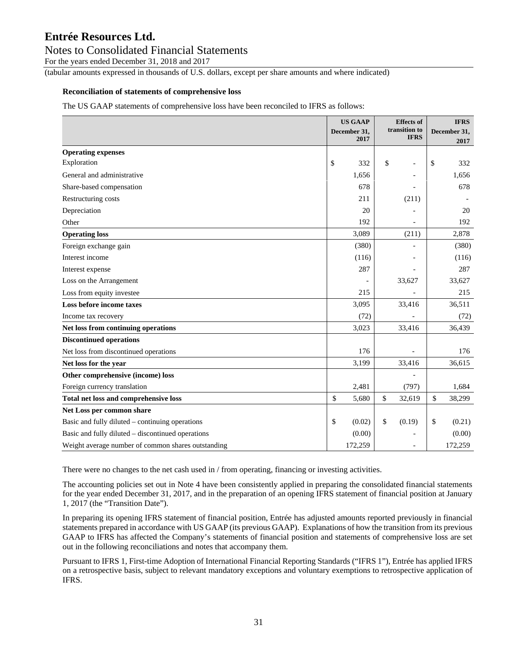### Notes to Consolidated Financial Statements

For the years ended December 31, 2018 and 2017

(tabular amounts expressed in thousands of U.S. dollars, except per share amounts and where indicated)

#### **Reconciliation of statements of comprehensive loss**

The US GAAP statements of comprehensive loss have been reconciled to IFRS as follows:

|                                                    | <b>US GAAP</b><br>December 31, | <b>Effects</b> of<br>transition to |    | <b>IFRS</b><br>December 31, |
|----------------------------------------------------|--------------------------------|------------------------------------|----|-----------------------------|
|                                                    | 2017                           | <b>IFRS</b>                        |    | 2017                        |
| <b>Operating expenses</b>                          |                                |                                    |    |                             |
| Exploration                                        | \$<br>332                      | \$                                 | \$ | 332                         |
| General and administrative                         | 1,656                          |                                    |    | 1,656                       |
| Share-based compensation                           | 678                            |                                    |    | 678                         |
| Restructuring costs                                | 211                            | (211)                              |    |                             |
| Depreciation                                       | 20                             |                                    |    | 20                          |
| Other                                              | 192                            |                                    |    | 192                         |
| <b>Operating loss</b>                              | 3,089                          | (211)                              |    | 2,878                       |
| Foreign exchange gain                              | (380)                          |                                    |    | (380)                       |
| Interest income                                    | (116)                          |                                    |    | (116)                       |
| Interest expense                                   | 287                            |                                    |    | 287                         |
| Loss on the Arrangement                            |                                | 33,627                             |    | 33,627                      |
| Loss from equity investee                          | 215                            |                                    |    | 215                         |
| Loss before income taxes                           | 3,095                          | 33,416                             |    | 36,511                      |
| Income tax recovery                                | (72)                           |                                    |    | (72)                        |
| Net loss from continuing operations                | 3,023                          | 33,416                             |    | 36,439                      |
| <b>Discontinued operations</b>                     |                                |                                    |    |                             |
| Net loss from discontinued operations              | 176                            |                                    |    | 176                         |
| Net loss for the year                              | 3,199                          | 33,416                             |    | 36,615                      |
| Other comprehensive (income) loss                  |                                |                                    |    |                             |
| Foreign currency translation                       | 2,481                          | (797)                              |    | 1,684                       |
| Total net loss and comprehensive loss              | \$<br>5,680                    | \$<br>32,619                       | \$ | 38,299                      |
| Net Loss per common share                          |                                |                                    |    |                             |
| Basic and fully diluted – continuing operations    | \$<br>(0.02)                   | \$<br>(0.19)                       | \$ | (0.21)                      |
| Basic and fully diluted - discontinued operations  | (0.00)                         |                                    |    | (0.00)                      |
| Weight average number of common shares outstanding | 172,259                        |                                    |    | 172,259                     |

There were no changes to the net cash used in / from operating, financing or investing activities.

The accounting policies set out in Note 4 have been consistently applied in preparing the consolidated financial statements for the year ended December 31, 2017, and in the preparation of an opening IFRS statement of financial position at January 1, 2017 (the "Transition Date").

In preparing its opening IFRS statement of financial position, Entrée has adjusted amounts reported previously in financial statements prepared in accordance with US GAAP (its previous GAAP). Explanations of how the transition from its previous GAAP to IFRS has affected the Company's statements of financial position and statements of comprehensive loss are set out in the following reconciliations and notes that accompany them.

Pursuant to IFRS 1, First-time Adoption of International Financial Reporting Standards ("IFRS 1"), Entrée has applied IFRS on a retrospective basis, subject to relevant mandatory exceptions and voluntary exemptions to retrospective application of IFRS.